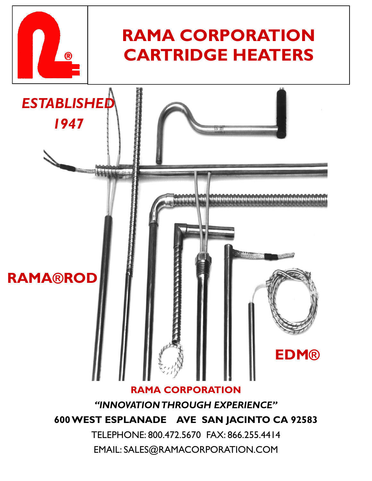

# **RAMA CORPORATION CARTRIDGE HEATERS**



EMAIL: SALES@RAMACORPORATION.COM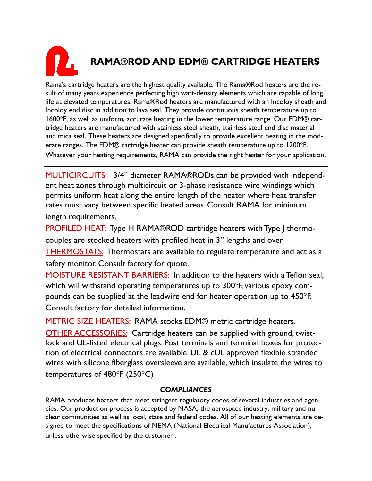# **RAMA®ROD AND EDM® CARTRIDGE HEATERS**

Rama's cartridge heaters are the highest quality available. The Rama®Rod heaters are the result of many years experience perfecting high watt-density elements which are capable of long life at elevated temperatures. Rama®Rod heaters are manufactured with an Incoloy sheath and Incoloy end disc in addition to lava seal. They provide continuous sheath temperature up to 1600°F, as well as uniform, accurate heating in the lower temperature range. Our EDM® cartridge heaters are manufactured with stainless steel sheath, stainless steel end disc material and mica seal. These heaters are designed specifically to provide excellent heating in the moderate ranges. The EDM® cartridge heater can provide sheath temperature up to 1200°F. Whatever your heating requirements, RAMA can provide the right heater for your application.

MULTICIRCUITS: 3/4" diameter RAMA®RODs can be provided with independent heat zones through multicircuit or 3-phase resistance wire windings which permits uniform heat along the entire length of the heater where heat transfer rates must vary between specific heated areas. Consult RAMA for minimum length requirements.

PROFILED HEAT: Type H RAMA®ROD cartridge heaters with Type J thermocouples are stocked heaters with profiled heat in 3" lengths and over.

THERMOSTATS: Thermostats are available to regulate temperature and act as a safety monitor. Consult factory for quote.

MOISTURE RESISTANT BARRIERS: In addition to the heaters with a Teflon seal, which will withstand operating temperatures up to 300°F, various epoxy compounds can be supplied at the leadwire end for heater operation up to 450°F. Consult factory for detailed information.

METRIC SIZE HEATERS: RAMA stocks EDM® metric cartridge heaters. OTHER ACCESSORIES: Cartridge heaters can be supplied with ground, twistlock and UL-listed electrical plugs. Post terminals and terminal boxes for protection of electrical connectors are available. UL & cUL approved flexible stranded wires with silicone fiberglass oversleeve are available, which insulate the wires to temperatures of 480°F (250°C)

#### *COMPLIANCES*

RAMA produces heaters that meet stringent regulatory codes of several industries and agencies. Our production process is accepted by NASA, the aerospace industry, military and nuclear communities as well as local, state and federal codes. All of our heating elements are designed to meet the specifications of NEMA (National Electrical Manufactures Association), unless otherwise specified by the customer .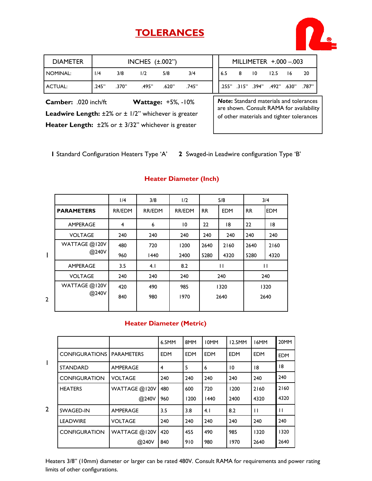## **TOLERANCES**



| Camber: .020 inch/ft |       |       | <b>Wattage: +5%, -10%</b> |       |       |     |        | <b>Note:</b> Standard materials and tolerand |  |
|----------------------|-------|-------|---------------------------|-------|-------|-----|--------|----------------------------------------------|--|
| ACTUAL:              | .245" | .370" | .495"                     | .620" | .745" |     |        | 187. "380. "492. "394. "394. "255.           |  |
| NOMINAL:             | 1/4   | 3/8   | 1/2                       | 5/8   | 3/4   | 6.5 | $8$ 10 | $12.5$ $16$ 20                               |  |
| <b>DIAMETER</b>      |       |       | INCHES $(\pm .002")$      |       |       |     |        | MILLIMETER +.000 -.003                       |  |

*Note***:** Standard materials and tolerances are shown. Consult RAMA for availability of other materials and tighter tolerances

Heater Length: ±2% or ± 3/32" whichever is greater

Leadwire Length: ±2% or ± 1/2" whichever is greater

**1** Standard Configuration Heaters Type 'A' **2** Swaged-in Leadwire configuration Type 'B'

#### **Heater Diameter (Inch)**

|                |                   | 1/4            | 3/8    | 1/2             |           | 5/8        |           | 3/4          |
|----------------|-------------------|----------------|--------|-----------------|-----------|------------|-----------|--------------|
|                | <b>PARAMETERS</b> | <b>RR/EDM</b>  | RR/EDM | <b>RR/EDM</b>   | <b>RR</b> | <b>EDM</b> | <b>RR</b> | <b>EDM</b>   |
|                | <b>AMPERAGE</b>   | $\overline{4}$ | 6      | $\overline{10}$ | 22        | 18         | 22        | 18           |
|                | <b>VOLTAGE</b>    | 240            | 240    | 240             | 240       | 240        | 240       | 240          |
|                | WATTAGE @120V     | 480            | 720    | 1200            | 2640      | 2160       | 2640      | 2160         |
| I              | @240V             | 960            | 1440   | 2400            | 5280      | 4320       | 5280      | 4320         |
|                | AMPERAGE          | 3.5            | 4.1    | 8.2             |           | П          |           | $\mathbf{H}$ |
|                | <b>VOLTAGE</b>    | 240            | 240    | 240             |           | 240        |           | 240          |
|                | WATTAGE @120V     | 420            | 490    | 985             |           | 1320       |           | 1320         |
| $\overline{2}$ | @240V             | 840            | 980    | 1970            |           | 2640       |           | 2640         |
|                |                   |                |        |                 |           |            |           |              |

2

#### **Heater Diameter (Metric)**

|   |                                    |                 | 6.5MM      | 8MM        | <b>IOMM</b> | 12.5MM     | 16MM         | 20MM         |
|---|------------------------------------|-----------------|------------|------------|-------------|------------|--------------|--------------|
|   | <b>CONFIGURATIONS   PARAMETERS</b> |                 | <b>EDM</b> | <b>EDM</b> | <b>EDM</b>  | <b>EDM</b> | <b>EDM</b>   | <b>EDM</b>   |
| T | <b>STANDARD</b>                    | <b>AMPERAGE</b> | 4          | 5          | 6           | 10         | 18           | 18           |
|   | <b>CONFIGURATION</b>               | <b>VOLTAGE</b>  | 240        | 240        | 240         | 240        | 240          | 240          |
|   | <b>HEATERS</b>                     | WATTAGE @120V   | 480        | 600        | 720         | 1200       | 2160         | 2160         |
|   |                                    | @240V           | 960        | 1200       | 1440        | 2400       | 4320         | 4320         |
| 2 | SWAGED-IN                          | <b>AMPERAGE</b> | 3.5        | 3.8        | 4.1         | 8.2        | $\mathbf{H}$ | $\mathbf{H}$ |
|   | <b>LEADWIRE</b>                    | <b>VOLTAGE</b>  | 240        | 240        | 240         | 240        | 240          | 240          |
|   | <b>CONFIGURATION</b>               | WATTAGE @120V   | 420        | 455        | 490         | 985        | 1320         | 1320         |
|   |                                    | @240V           | 840        | 910        | 980         | 1970       | 2640         | 2640         |

Heaters 3/8" (10mm) diameter or larger can be rated 480V. Consult RAMA for requirements and power rating limits of other configurations.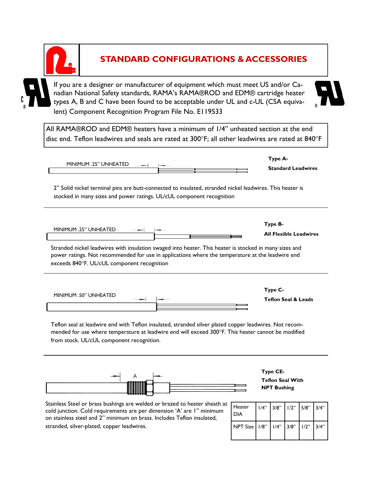

## **STANDARD CONFIGURATIONS & ACCESSORIES**

If you are a designer or manufacturer of equipment which must meet US and/or Canadian National Safety standards, RAMA's RAMA®ROD and EDM® cartridge heater types A, B and C have been found to be acceptable under UL and c-UL (CSA equivalent) Component Recognition Program File No. E119533

All RAMA®ROD and EDM® heaters have a minimum of 1/4" unheated section at the end disc end. Teflon leadwires and seals are rated at 300°F; all other leadwires are rated at 840°F

| MINIMUM .25" UNHEATED                                                                                                                                                             | Type A-<br><b>Standard Leadwires</b> |
|-----------------------------------------------------------------------------------------------------------------------------------------------------------------------------------|--------------------------------------|
| 2" Solid nickel terminal pins are butt-connected to insulated, stranded nickel leadwires. This heater is<br>stocked in many sizes and power ratings. UL/cUL component recognition |                                      |
| MINIMUM .25" UNHEATED                                                                                                                                                             | Type B-                              |

**All Flexible Leadwires** 

Stranded nickel leadwires with insulation swaged into heater. This heater is stocked in many sizes and power ratings. Not recommended for use in applications where the temperature at the leadwire end exceeds 840°F. UL/cUL component recognition

| MINIMUM .50" UNHEATED |  |        | Type C-                        |
|-----------------------|--|--------|--------------------------------|
| ___                   |  |        | <b>Teflon Seal &amp; Leads</b> |
|                       |  | ,,,,,, |                                |
|                       |  |        |                                |
|                       |  | ----   |                                |

Teflon seal at leadwire end with Teflon insulated, stranded silver plated copper leadwires. Not recommended for use where temperature at leadwire end will exceed 300°F. This heater cannot be modified from stock. UL/cUL component recognition.



**Teflon Seal With NPT Bushing** 

Stainless Steel or brass bushings are welded or brazed to heater sheath at cold junction. Cold requirements are per dimension 'A' are 1" minimum on stainless steel and 2" minimum on brass. Includes Teflon insulated, stranded, silver-plated, copper leadwires.

| <b>Heater</b><br><b>DIA</b>                 | $1/4$ " 3/8" $1/2$ " 5/8" 3/4" |  |  |
|---------------------------------------------|--------------------------------|--|--|
| NPT Size   1/8"   1/4"   3/8"   1/2"   3/4" |                                |  |  |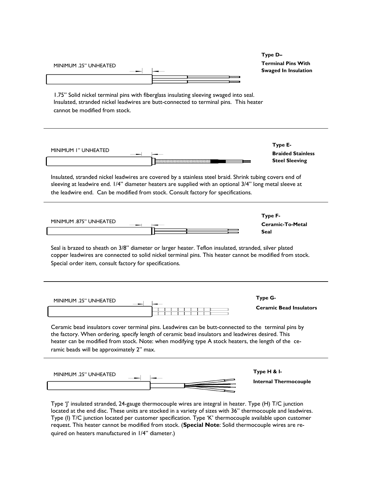| MINIMUM .25" UNHEATED                                                                                                                                                                                                                                                                                                                                         | Type D-<br><b>Terminal Pins With</b><br><b>Swaged In Insulation</b> |
|---------------------------------------------------------------------------------------------------------------------------------------------------------------------------------------------------------------------------------------------------------------------------------------------------------------------------------------------------------------|---------------------------------------------------------------------|
| 1.75" Solid nickel terminal pins with fiberglass insulating sleeving swaged into seal.<br>Insulated, stranded nickel leadwires are butt-connected to terminal pins. This heater<br>cannot be modified from stock.                                                                                                                                             |                                                                     |
| <b>MINIMUM I" UNHEATED</b>                                                                                                                                                                                                                                                                                                                                    | Type E-<br><b>Braided Stainless</b><br><b>Steel Sleeving</b>        |
| Insulated, stranded nickel leadwires are covered by a stainless steel braid. Shrink tubing covers end of<br>sleeving at leadwire end. 1/4" diameter heaters are supplied with an optional 3/4" long metal sleeve at<br>the leadwire end. Can be modified from stock. Consult factory for specifications.                                                      |                                                                     |
| MINIMUM .875" UNHEATED                                                                                                                                                                                                                                                                                                                                        | Type F-<br>Ceramic-To-Metal<br><b>Seal</b>                          |
| Seal is brazed to sheath on 3/8" diameter or larger heater. Teflon insulated, stranded, silver plated<br>copper leadwires are connected to solid nickel terminal pins. This heater cannot be modified from stock.<br>Special order item, consult factory for specifications.                                                                                  |                                                                     |
| MINIMUM .25" UNHEATED                                                                                                                                                                                                                                                                                                                                         | Type G-<br><b>Ceramic Bead Insulators</b>                           |
| Ceramic bead insulators cover terminal pins. Leadwires can be butt-connected to the terminal pins by<br>the factory. When ordering, specify length of ceramic bead insulators and leadwires desired. This<br>heater can be modified from stock. Note: when modifying type A stock heaters, the length of the ce-<br>ramic beads will be approximately 2" max. |                                                                     |
|                                                                                                                                                                                                                                                                                                                                                               |                                                                     |

located at the end disc. These units are stocked in a variety of sizes with 36" thermocouple and leadwires. Type (I) T/C junction located per customer specification. Type 'K' thermocouple available upon customer request. This heater cannot be modified from stock. (**Special Note**: Solid thermocouple wires are required on heaters manufactured in 1/4" diameter.)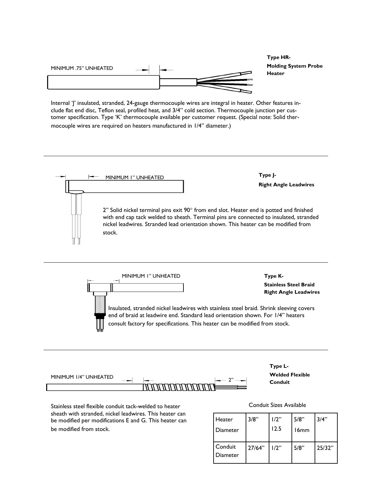

**Type HR-Molding System Probe Heater** 

Internal 'J' insulated, stranded, 24-gauge thermocouple wires are integral in heater. Other features include flat end disc, Teflon seal, profiled heat, and 3/4" cold section. Thermocouple junction per customer specification. Type 'K' thermocouple available per customer request. (Special note: Solid thermocouple wires are required on heaters manufactured in 1/4" diameter.)



**Stainless Steel Braid Right Angle Leadwires**  Insulated, stranded nickel leadwires with stainless steel braid. Shrink sleeving covers end of braid at leadwire end. Standard lead orientation shown. For 1/4" heaters consult factory for specifications. This heater can be modified from stock.

| MINIMUM 1/4" UNHEATED |                                         |  |
|-----------------------|-----------------------------------------|--|
|                       | <u>, 17 77 77 77 77 77 77 77 9</u><br>M |  |

**Type L-Welded Flexible Conduit** 

Stainless steel flexible conduit tack-welded to heater sheath with stranded, nickel leadwires. This heater can be modified per modifications E and G. This heater can be modified from stock.

#### Conduit Sizes Available

| Heater<br>Diameter  | 3/8"   | 1/2"<br>12.5 | 5/8"<br>16mm | 3/4"   |
|---------------------|--------|--------------|--------------|--------|
| Conduit<br>Diameter | 27/64" | 1/2"         | 5/8"         | 25/32" |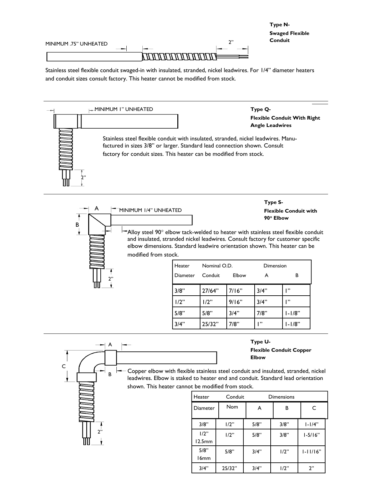

Stainless steel flexible conduit swaged-in with insulated, stranded, nickel leadwires. For 1/4" diameter heaters and conduit sizes consult factory. This heater cannot be modified from stock.



A B 2" MINIMUM 1/4" UNHEATED **Flexible Conduit with 90**° **Elbow**   $A$ lloy steel 90 $^{\circ}$  elbow tack-welded to heater with stainless steel flexible conduit and insulated, stranded nickel leadwires. Consult factory for customer specific elbow dimensions. Standard leadwire orientation shown. This heater can be modified from stock.  $3/8"$  27/64" 7/16" 3/4" 1"  $1/2$ "  $1/2$ " 9/16" 3/4" 1" 5/8" 5/8" 3/4" 7/8" 1-1/8" Heater Nominal O.D. Dimension Diameter Conduit Elbow A B

|                   | 3/4"                                                                                                                                                                                                                       | 25/32"            | 7/8"       | $\mathbf{P}$            | $1 - 1/8"$                     |              |  |
|-------------------|----------------------------------------------------------------------------------------------------------------------------------------------------------------------------------------------------------------------------|-------------------|------------|-------------------------|--------------------------------|--------------|--|
| A                 |                                                                                                                                                                                                                            |                   |            | Type U-<br><b>Elbow</b> | <b>Flexible Conduit Copper</b> |              |  |
| $\mathsf{C}$<br>в | Copper elbow with flexible stainless steel conduit and insulated, stranded, nickel<br>leadwires. Elbow is staked to heater end and conduit. Standard lead orientation<br>shown. This heater cannot be modified from stock. |                   |            |                         |                                |              |  |
|                   |                                                                                                                                                                                                                            | Heater            | Conduit    |                         | <b>Dimensions</b>              |              |  |
|                   |                                                                                                                                                                                                                            | Diameter          | <b>Nom</b> | A                       | в                              |              |  |
|                   |                                                                                                                                                                                                                            | 3/8"              | 1/2"       | 5/8"                    | 3/8"                           | $1 - 1/4"$   |  |
| ን"                |                                                                                                                                                                                                                            | $1/2$ "<br>12.5mm | $1/2$ "    | 5/8"                    | 3/8"                           | $1 - 5/16"$  |  |
|                   |                                                                                                                                                                                                                            | 5/8"              | 5/8"       | 3/4"                    | 1/2"                           | $1 - 11/16"$ |  |

16mm

3/4" 25/32" 3/4" 1/2" 2"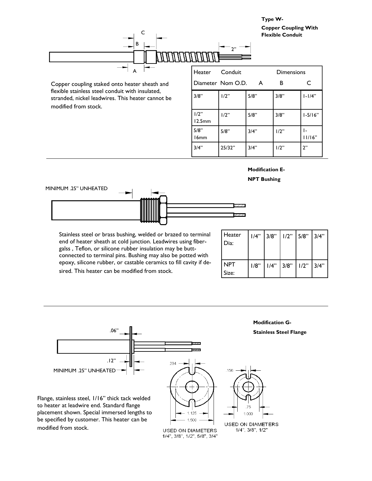**Type W-Copper Coupling With** 



Copper coupling staked onto heater sheath and flexible stainless steel conduit with insulated, stranded, nickel leadwires. This heater cannot be modified from stock.

| Heater                   | Conduit<br>Diameter Nom O.D. | A    | Dimensions<br>в | C            |
|--------------------------|------------------------------|------|-----------------|--------------|
| 3/8"                     | 1/2"                         | 5/8" | 3/8"            | $1 - 1/4"$   |
| 1/2"<br>12.5mm           | 1/2"                         | 5/8" | 3/8"            | $1 - 5/16"$  |
| 5/8"<br>16 <sub>mm</sub> | 5/8"                         | 3/4" | 1/2"            | ı-<br>11/16" |
| 3/4"                     | 25/32"                       | 3/4" | 1/2"            | 2"           |

#### **Modification E-**

**NPT Bushing** 



Stainless steel or brass bushing, welded or brazed to terminal end of heater sheath at cold junction. Leadwires using fibergalss , Teflon, or silicone rubber insulation may be buttconnected to terminal pins. Bushing may also be potted with epoxy, silicone rubber, or castable ceramics to fill cavity if desired. This heater can be modified from stock.

| Heater<br>Dia:      | 1/4" | 3/8"        | $1/2$ " 5/8" 3/4" |  |
|---------------------|------|-------------|-------------------|--|
| <b>NPT</b><br>Size: | 1/8" | $1/4"$ 3/8" | $1/2$ " 3/4"      |  |

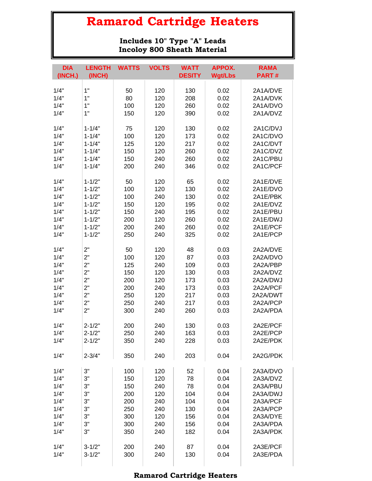**Includes 10" Type "A" Leads Incoloy 800 Sheath Material**

| <b>DIA</b>   | <b>LENGTH</b>            | <b>WATTS</b> | <b>VOLTS</b> | <b>WATT</b>   | <b>APPOX.</b>  | <b>RAMA</b>          |
|--------------|--------------------------|--------------|--------------|---------------|----------------|----------------------|
| (INCH.)      | (INCH)                   |              |              | <b>DESITY</b> | <b>Wgt/Lbs</b> | <b>PART#</b>         |
| 1/4"         | 1"                       | 50           | 120          | 130           | 0.02           | 2A1A/DVE             |
| 1/4"         | 1"                       | 80           | 120          | 208           | 0.02           | 2A1A/DVK             |
| 1/4"         | 1"                       | 100          | 120          | 260           | 0.02           | 2A1A/DVO             |
| 1/4"         | 1"                       | 150          | 120          | 390           | 0.02           | 2A1A/DVZ             |
|              |                          |              |              |               |                |                      |
| 1/4"         | $1 - 1/4"$               | 75           | 120          | 130           | 0.02           | 2A1C/DVJ             |
| 1/4"         | $1 - 1/4"$               | 100          | 120          | 173           | 0.02           | 2A1C/DVO             |
| 1/4"         | $1 - 1/4"$               | 125          | 120          | 217           | 0.02           | 2A1C/DVT             |
| 1/4"         | $1 - 1/4"$               | 150          | 120          | 260           | 0.02           | 2A1C/DVZ             |
| 1/4"         | $1 - 1/4"$               | 150          | 240          | 260           | 0.02           | 2A1C/PBU             |
| 1/4"         | $1 - 1/4"$               | 200          | 240          | 346           | 0.02           | 2A1C/PCF             |
|              |                          |              |              |               |                |                      |
| 1/4"         | $1 - 1/2"$               | 50           | 120          | 65            | 0.02<br>0.02   | 2A1E/DVE<br>2A1E/DVO |
| 1/4"<br>1/4" | $1 - 1/2"$               | 100          | 120          | 130           |                |                      |
| 1/4"         | $1 - 1/2"$<br>$1 - 1/2"$ | 100<br>150   | 240<br>120   | 130<br>195    | 0.02<br>0.02   | 2A1E/PBK<br>2A1E/DVZ |
| 1/4"         | $1 - 1/2"$               | 150          | 240          | 195           | 0.02           | 2A1E/PBU             |
| 1/4"         | $1 - 1/2"$               | 200          | 120          | 260           | 0.02           | 2A1E/DWJ             |
| 1/4"         | $1 - 1/2"$               | 200          | 240          | 260           | 0.02           | 2A1E/PCF             |
| 1/4"         | $1 - 1/2"$               | 250          | 240          | 325           | 0.02           | 2A1E/PCP             |
|              |                          |              |              |               |                |                      |
| 1/4"         | 2"                       | 50           | 120          | 48            | 0.03           | 2A2A/DVE             |
| 1/4"         | 2"                       | 100          | 120          | 87            | 0.03           | 2A2A/DVO             |
| 1/4"         | 2"                       | 125          | 240          | 109           | 0.03           | 2A2A/PBP             |
| 1/4"         | 2"                       | 150          | 120          | 130           | 0.03           | 2A2A/DVZ             |
| 1/4"         | 2"                       | 200          | 120          | 173           | 0.03           | 2A2A/DWJ             |
| 1/4"         | 2"                       | 200          | 240          | 173           | 0.03           | 2A2A/PCF             |
| 1/4"         | 2"                       | 250          | 120          | 217           | 0.03           | 2A2A/DWT             |
| 1/4"         | 2"                       | 250          | 240          | 217           | 0.03           | 2A2A/PCP             |
| 1/4"         | 2"                       | 300          | 240          | 260           | 0.03           | 2A2A/PDA             |
| 1/4"         | $2 - 1/2"$               | 200          | 240          | 130           | 0.03           | 2A2E/PCF             |
| 1/4"         | $2 - 1/2"$               | 250          | 240          | 163           | 0.03           | 2A2E/PCP             |
| 1/4"         | $2 - 1/2"$               | 350          | 240          | 228           | 0.03           | 2A2E/PDK             |
|              |                          |              |              |               |                |                      |
| 1/4"         | $2 - 3/4"$               | 350          | 240          | 203           | 0.04           | 2A2G/PDK             |
| 1/4"         | 3"                       | 100          | 120          | 52            | 0.04           | 2A3A/DVO             |
| 1/4"         | 3"                       | 150          | 120          | 78            | 0.04           | 2A3A/DVZ             |
| 1/4"         | 3"                       | 150          | 240          | 78            | 0.04           | 2A3A/PBU             |
| 1/4"         | 3"                       | 200          | 120          | 104           | 0.04           | 2A3A/DWJ             |
| 1/4"         | 3"                       | 200          | 240          | 104           | 0.04           | 2A3A/PCF             |
| 1/4"         | 3"                       | 250          | 240          | 130           | 0.04           | 2A3A/PCP             |
| 1/4"         | 3"                       | 300          | 120          | 156           | 0.04           | 2A3A/DYE             |
| 1/4"         | 3"                       | 300          | 240          | 156           | 0.04           | 2A3A/PDA             |
| 1/4"         | 3"                       | 350          | 240          | 182           | 0.04           | 2A3A/PDK             |
|              |                          |              |              |               |                |                      |
| 1/4"         | $3 - 1/2"$               | 200          | 240          | 87            | 0.04           | 2A3E/PCF             |
| 1/4"         | $3 - 1/2"$               | 300          | 240          | 130           | 0.04           | 2A3E/PDA             |
|              |                          |              |              |               |                |                      |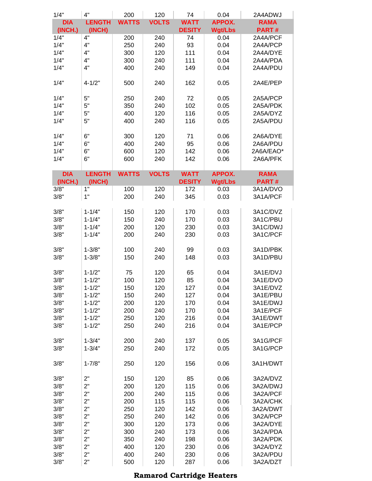| <b>Wgt/Lbs</b><br>(INCH.)<br>(INCH)<br><b>DESITY</b><br><b>PART#</b><br>4"<br>1/4"<br>0.04<br>200<br>240<br>74<br>2A4A/PCF<br>4"<br>1/4"<br>93<br>250<br>240<br>0.04<br>2A4A/PCP<br>1/4"<br>4"<br>300<br>120<br>111<br>0.04<br>2A4A/DYE<br>4"<br>1/4"<br>300<br>240<br>111<br>0.04<br>2A4A/PDA<br>4"<br>1/4"<br>400<br>0.04<br>2A4A/PDU<br>240<br>149<br>1/4"<br>$4 - 1/2"$<br>500<br>240<br>162<br>0.05<br>2A4E/PEP<br>5"<br>1/4"<br>250<br>240<br>72<br>0.05<br>2A5A/PCP<br>5"<br>1/4"<br>240<br>102<br>0.05<br>350<br>2A5A/PDK<br>5"<br>1/4"<br>400<br>120<br>116<br>0.05<br>2A5A/DYZ<br>5"<br>1/4"<br>240<br>400<br>116<br>0.05<br>2A5A/PDU<br>6"<br>1/4"<br>300<br>120<br>71<br>2A6A/DYE<br>0.06<br>6"<br>1/4"<br>400<br>240<br>95<br>2A6A/PDU<br>0.06<br>6"<br>1/4"<br>120<br>142<br>2A6A/EAO*<br>600<br>0.06<br>6"<br>1/4"<br>600<br>240<br>142<br>0.06<br>2A6A/PFK<br><b>WATTS</b><br><b>VOLTS</b><br><b>APPOX.</b><br><b>DIA</b><br><b>LENGTH</b><br><b>WATT</b><br><b>RAMA</b><br><b>DESITY</b><br><b>Wgt/Lbs</b><br><b>PART#</b><br>(INCH.)<br>(INCH)<br>1"<br>3/8"<br>100<br>120<br>172<br>0.03<br>3A1A/DVO<br>1"<br>200<br>240<br>3/8"<br>345<br>0.03<br>3A1A/PCF<br>3/8"<br>$1 - 1/4"$<br>150<br>120<br>170<br>0.03<br>3A1C/DVZ<br>3/8"<br>150<br>240<br>0.03<br>3A1C/PBU<br>$1 - 1/4"$<br>170<br>3/8"<br>120<br>230<br>0.03<br>$1 - 1/4"$<br>200<br>3A1C/DWJ<br>3/8"<br>$1 - 1/4"$<br>200<br>240<br>230<br>0.03<br>3A1C/PCF<br>3/8"<br>$1 - 3/8"$<br>100<br>240<br>99<br>0.03<br>3A1D/PBK<br>3A1D/PBU<br>3/8"<br>150<br>240<br>148<br>0.03<br>$1 - 3/8"$<br>3/8"<br>75<br>$1 - 1/2"$<br>120<br>65<br>0.04<br>3A1E/DVJ<br>3/8"<br>$1 - 1/2"$<br>85<br>100<br>120<br>0.04<br>3A1E/DVO<br>$1 - 1/2"$<br>3/8"<br>120<br>127<br>3A1E/DVZ<br>150<br>0.04<br>3/8"<br>$1 - 1/2"$<br>150<br>240<br>127<br>0.04<br>3A1E/PBU<br>3/8"<br>$1 - 1/2"$<br>200<br>120<br>170<br>0.04<br>3A1E/DWJ<br>3/8"<br>$1 - 1/2"$<br>200<br>240<br>170<br>0.04<br>3A1E/PCF<br>3/8"<br>$1 - 1/2"$<br>250<br>120<br>216<br>0.04<br>3A1E/DWT<br>3/8"<br>$1 - 1/2"$<br>250<br>240<br>216<br>0.04<br>3A1E/PCP<br>3/8"<br>$1 - 3/4"$<br>3A1G/PCF<br>200<br>240<br>137<br>0.05<br>3/8"<br>250<br>240<br>0.05<br>3A1G/PCP<br>$1 - 3/4"$<br>172<br>3/8"<br>$1 - 7/8"$<br>120<br>3A1H/DWT<br>250<br>156<br>0.06<br>2"<br>3/8"<br>120<br>150<br>85<br>0.06<br>3A2A/DVZ<br>2"<br>3/8"<br>200<br>120<br>115<br>0.06<br>3A2A/DWJ<br>2"<br>3/8"<br>200<br>240<br>115<br>0.06<br>3A2A/PCF<br>2"<br>3/8"<br>200<br>115<br>115<br>0.06<br>3A2A/CHK<br>2"<br>3/8"<br>250<br>120<br>142<br>0.06<br>3A2A/DWT<br>2"<br>3/8"<br>250<br>240<br>142<br>0.06<br>3A2A/PCP<br>2"<br>3/8"<br>3A2A/DYE<br>300<br>120<br>173<br>0.06<br>2"<br>3/8"<br>300<br>240<br>173<br>3A2A/PDA<br>0.06<br>2"<br>3/8"<br>3A2A/PDK<br>350<br>240<br>198<br>0.06<br>2"<br>3/8"<br>400<br>120<br>230<br>0.06<br>3A2A/DYZ<br>2"<br>3/8"<br>400<br>240<br>230<br>3A2A/PDU<br>0.06 | 1/4"       | 4"            | 200          | 120          | 74          | 0.04          | 2A4ADWJ     |
|-----------------------------------------------------------------------------------------------------------------------------------------------------------------------------------------------------------------------------------------------------------------------------------------------------------------------------------------------------------------------------------------------------------------------------------------------------------------------------------------------------------------------------------------------------------------------------------------------------------------------------------------------------------------------------------------------------------------------------------------------------------------------------------------------------------------------------------------------------------------------------------------------------------------------------------------------------------------------------------------------------------------------------------------------------------------------------------------------------------------------------------------------------------------------------------------------------------------------------------------------------------------------------------------------------------------------------------------------------------------------------------------------------------------------------------------------------------------------------------------------------------------------------------------------------------------------------------------------------------------------------------------------------------------------------------------------------------------------------------------------------------------------------------------------------------------------------------------------------------------------------------------------------------------------------------------------------------------------------------------------------------------------------------------------------------------------------------------------------------------------------------------------------------------------------------------------------------------------------------------------------------------------------------------------------------------------------------------------------------------------------------------------------------------------------------------------------------------------------------------------------------------------------------------------------------------------------------------------------------------------------------------------------------------------------------------------------------------------------------------------------------------------------------------------------------------------------------------------------------------------------------------------------------------------|------------|---------------|--------------|--------------|-------------|---------------|-------------|
|                                                                                                                                                                                                                                                                                                                                                                                                                                                                                                                                                                                                                                                                                                                                                                                                                                                                                                                                                                                                                                                                                                                                                                                                                                                                                                                                                                                                                                                                                                                                                                                                                                                                                                                                                                                                                                                                                                                                                                                                                                                                                                                                                                                                                                                                                                                                                                                                                                                                                                                                                                                                                                                                                                                                                                                                                                                                                                                       | <b>DIA</b> | <b>LENGTH</b> | <b>WATTS</b> | <b>VOLTS</b> | <b>WATT</b> | <b>APPOX.</b> | <b>RAMA</b> |
|                                                                                                                                                                                                                                                                                                                                                                                                                                                                                                                                                                                                                                                                                                                                                                                                                                                                                                                                                                                                                                                                                                                                                                                                                                                                                                                                                                                                                                                                                                                                                                                                                                                                                                                                                                                                                                                                                                                                                                                                                                                                                                                                                                                                                                                                                                                                                                                                                                                                                                                                                                                                                                                                                                                                                                                                                                                                                                                       |            |               |              |              |             |               |             |
|                                                                                                                                                                                                                                                                                                                                                                                                                                                                                                                                                                                                                                                                                                                                                                                                                                                                                                                                                                                                                                                                                                                                                                                                                                                                                                                                                                                                                                                                                                                                                                                                                                                                                                                                                                                                                                                                                                                                                                                                                                                                                                                                                                                                                                                                                                                                                                                                                                                                                                                                                                                                                                                                                                                                                                                                                                                                                                                       |            |               |              |              |             |               |             |
|                                                                                                                                                                                                                                                                                                                                                                                                                                                                                                                                                                                                                                                                                                                                                                                                                                                                                                                                                                                                                                                                                                                                                                                                                                                                                                                                                                                                                                                                                                                                                                                                                                                                                                                                                                                                                                                                                                                                                                                                                                                                                                                                                                                                                                                                                                                                                                                                                                                                                                                                                                                                                                                                                                                                                                                                                                                                                                                       |            |               |              |              |             |               |             |
|                                                                                                                                                                                                                                                                                                                                                                                                                                                                                                                                                                                                                                                                                                                                                                                                                                                                                                                                                                                                                                                                                                                                                                                                                                                                                                                                                                                                                                                                                                                                                                                                                                                                                                                                                                                                                                                                                                                                                                                                                                                                                                                                                                                                                                                                                                                                                                                                                                                                                                                                                                                                                                                                                                                                                                                                                                                                                                                       |            |               |              |              |             |               |             |
|                                                                                                                                                                                                                                                                                                                                                                                                                                                                                                                                                                                                                                                                                                                                                                                                                                                                                                                                                                                                                                                                                                                                                                                                                                                                                                                                                                                                                                                                                                                                                                                                                                                                                                                                                                                                                                                                                                                                                                                                                                                                                                                                                                                                                                                                                                                                                                                                                                                                                                                                                                                                                                                                                                                                                                                                                                                                                                                       |            |               |              |              |             |               |             |
|                                                                                                                                                                                                                                                                                                                                                                                                                                                                                                                                                                                                                                                                                                                                                                                                                                                                                                                                                                                                                                                                                                                                                                                                                                                                                                                                                                                                                                                                                                                                                                                                                                                                                                                                                                                                                                                                                                                                                                                                                                                                                                                                                                                                                                                                                                                                                                                                                                                                                                                                                                                                                                                                                                                                                                                                                                                                                                                       |            |               |              |              |             |               |             |
|                                                                                                                                                                                                                                                                                                                                                                                                                                                                                                                                                                                                                                                                                                                                                                                                                                                                                                                                                                                                                                                                                                                                                                                                                                                                                                                                                                                                                                                                                                                                                                                                                                                                                                                                                                                                                                                                                                                                                                                                                                                                                                                                                                                                                                                                                                                                                                                                                                                                                                                                                                                                                                                                                                                                                                                                                                                                                                                       |            |               |              |              |             |               |             |
|                                                                                                                                                                                                                                                                                                                                                                                                                                                                                                                                                                                                                                                                                                                                                                                                                                                                                                                                                                                                                                                                                                                                                                                                                                                                                                                                                                                                                                                                                                                                                                                                                                                                                                                                                                                                                                                                                                                                                                                                                                                                                                                                                                                                                                                                                                                                                                                                                                                                                                                                                                                                                                                                                                                                                                                                                                                                                                                       |            |               |              |              |             |               |             |
|                                                                                                                                                                                                                                                                                                                                                                                                                                                                                                                                                                                                                                                                                                                                                                                                                                                                                                                                                                                                                                                                                                                                                                                                                                                                                                                                                                                                                                                                                                                                                                                                                                                                                                                                                                                                                                                                                                                                                                                                                                                                                                                                                                                                                                                                                                                                                                                                                                                                                                                                                                                                                                                                                                                                                                                                                                                                                                                       |            |               |              |              |             |               |             |
|                                                                                                                                                                                                                                                                                                                                                                                                                                                                                                                                                                                                                                                                                                                                                                                                                                                                                                                                                                                                                                                                                                                                                                                                                                                                                                                                                                                                                                                                                                                                                                                                                                                                                                                                                                                                                                                                                                                                                                                                                                                                                                                                                                                                                                                                                                                                                                                                                                                                                                                                                                                                                                                                                                                                                                                                                                                                                                                       |            |               |              |              |             |               |             |
|                                                                                                                                                                                                                                                                                                                                                                                                                                                                                                                                                                                                                                                                                                                                                                                                                                                                                                                                                                                                                                                                                                                                                                                                                                                                                                                                                                                                                                                                                                                                                                                                                                                                                                                                                                                                                                                                                                                                                                                                                                                                                                                                                                                                                                                                                                                                                                                                                                                                                                                                                                                                                                                                                                                                                                                                                                                                                                                       |            |               |              |              |             |               |             |
|                                                                                                                                                                                                                                                                                                                                                                                                                                                                                                                                                                                                                                                                                                                                                                                                                                                                                                                                                                                                                                                                                                                                                                                                                                                                                                                                                                                                                                                                                                                                                                                                                                                                                                                                                                                                                                                                                                                                                                                                                                                                                                                                                                                                                                                                                                                                                                                                                                                                                                                                                                                                                                                                                                                                                                                                                                                                                                                       |            |               |              |              |             |               |             |
|                                                                                                                                                                                                                                                                                                                                                                                                                                                                                                                                                                                                                                                                                                                                                                                                                                                                                                                                                                                                                                                                                                                                                                                                                                                                                                                                                                                                                                                                                                                                                                                                                                                                                                                                                                                                                                                                                                                                                                                                                                                                                                                                                                                                                                                                                                                                                                                                                                                                                                                                                                                                                                                                                                                                                                                                                                                                                                                       |            |               |              |              |             |               |             |
|                                                                                                                                                                                                                                                                                                                                                                                                                                                                                                                                                                                                                                                                                                                                                                                                                                                                                                                                                                                                                                                                                                                                                                                                                                                                                                                                                                                                                                                                                                                                                                                                                                                                                                                                                                                                                                                                                                                                                                                                                                                                                                                                                                                                                                                                                                                                                                                                                                                                                                                                                                                                                                                                                                                                                                                                                                                                                                                       |            |               |              |              |             |               |             |
|                                                                                                                                                                                                                                                                                                                                                                                                                                                                                                                                                                                                                                                                                                                                                                                                                                                                                                                                                                                                                                                                                                                                                                                                                                                                                                                                                                                                                                                                                                                                                                                                                                                                                                                                                                                                                                                                                                                                                                                                                                                                                                                                                                                                                                                                                                                                                                                                                                                                                                                                                                                                                                                                                                                                                                                                                                                                                                                       |            |               |              |              |             |               |             |
|                                                                                                                                                                                                                                                                                                                                                                                                                                                                                                                                                                                                                                                                                                                                                                                                                                                                                                                                                                                                                                                                                                                                                                                                                                                                                                                                                                                                                                                                                                                                                                                                                                                                                                                                                                                                                                                                                                                                                                                                                                                                                                                                                                                                                                                                                                                                                                                                                                                                                                                                                                                                                                                                                                                                                                                                                                                                                                                       |            |               |              |              |             |               |             |
|                                                                                                                                                                                                                                                                                                                                                                                                                                                                                                                                                                                                                                                                                                                                                                                                                                                                                                                                                                                                                                                                                                                                                                                                                                                                                                                                                                                                                                                                                                                                                                                                                                                                                                                                                                                                                                                                                                                                                                                                                                                                                                                                                                                                                                                                                                                                                                                                                                                                                                                                                                                                                                                                                                                                                                                                                                                                                                                       |            |               |              |              |             |               |             |
|                                                                                                                                                                                                                                                                                                                                                                                                                                                                                                                                                                                                                                                                                                                                                                                                                                                                                                                                                                                                                                                                                                                                                                                                                                                                                                                                                                                                                                                                                                                                                                                                                                                                                                                                                                                                                                                                                                                                                                                                                                                                                                                                                                                                                                                                                                                                                                                                                                                                                                                                                                                                                                                                                                                                                                                                                                                                                                                       |            |               |              |              |             |               |             |
|                                                                                                                                                                                                                                                                                                                                                                                                                                                                                                                                                                                                                                                                                                                                                                                                                                                                                                                                                                                                                                                                                                                                                                                                                                                                                                                                                                                                                                                                                                                                                                                                                                                                                                                                                                                                                                                                                                                                                                                                                                                                                                                                                                                                                                                                                                                                                                                                                                                                                                                                                                                                                                                                                                                                                                                                                                                                                                                       |            |               |              |              |             |               |             |
|                                                                                                                                                                                                                                                                                                                                                                                                                                                                                                                                                                                                                                                                                                                                                                                                                                                                                                                                                                                                                                                                                                                                                                                                                                                                                                                                                                                                                                                                                                                                                                                                                                                                                                                                                                                                                                                                                                                                                                                                                                                                                                                                                                                                                                                                                                                                                                                                                                                                                                                                                                                                                                                                                                                                                                                                                                                                                                                       |            |               |              |              |             |               |             |
|                                                                                                                                                                                                                                                                                                                                                                                                                                                                                                                                                                                                                                                                                                                                                                                                                                                                                                                                                                                                                                                                                                                                                                                                                                                                                                                                                                                                                                                                                                                                                                                                                                                                                                                                                                                                                                                                                                                                                                                                                                                                                                                                                                                                                                                                                                                                                                                                                                                                                                                                                                                                                                                                                                                                                                                                                                                                                                                       |            |               |              |              |             |               |             |
|                                                                                                                                                                                                                                                                                                                                                                                                                                                                                                                                                                                                                                                                                                                                                                                                                                                                                                                                                                                                                                                                                                                                                                                                                                                                                                                                                                                                                                                                                                                                                                                                                                                                                                                                                                                                                                                                                                                                                                                                                                                                                                                                                                                                                                                                                                                                                                                                                                                                                                                                                                                                                                                                                                                                                                                                                                                                                                                       |            |               |              |              |             |               |             |
|                                                                                                                                                                                                                                                                                                                                                                                                                                                                                                                                                                                                                                                                                                                                                                                                                                                                                                                                                                                                                                                                                                                                                                                                                                                                                                                                                                                                                                                                                                                                                                                                                                                                                                                                                                                                                                                                                                                                                                                                                                                                                                                                                                                                                                                                                                                                                                                                                                                                                                                                                                                                                                                                                                                                                                                                                                                                                                                       |            |               |              |              |             |               |             |
|                                                                                                                                                                                                                                                                                                                                                                                                                                                                                                                                                                                                                                                                                                                                                                                                                                                                                                                                                                                                                                                                                                                                                                                                                                                                                                                                                                                                                                                                                                                                                                                                                                                                                                                                                                                                                                                                                                                                                                                                                                                                                                                                                                                                                                                                                                                                                                                                                                                                                                                                                                                                                                                                                                                                                                                                                                                                                                                       |            |               |              |              |             |               |             |
|                                                                                                                                                                                                                                                                                                                                                                                                                                                                                                                                                                                                                                                                                                                                                                                                                                                                                                                                                                                                                                                                                                                                                                                                                                                                                                                                                                                                                                                                                                                                                                                                                                                                                                                                                                                                                                                                                                                                                                                                                                                                                                                                                                                                                                                                                                                                                                                                                                                                                                                                                                                                                                                                                                                                                                                                                                                                                                                       |            |               |              |              |             |               |             |
|                                                                                                                                                                                                                                                                                                                                                                                                                                                                                                                                                                                                                                                                                                                                                                                                                                                                                                                                                                                                                                                                                                                                                                                                                                                                                                                                                                                                                                                                                                                                                                                                                                                                                                                                                                                                                                                                                                                                                                                                                                                                                                                                                                                                                                                                                                                                                                                                                                                                                                                                                                                                                                                                                                                                                                                                                                                                                                                       |            |               |              |              |             |               |             |
|                                                                                                                                                                                                                                                                                                                                                                                                                                                                                                                                                                                                                                                                                                                                                                                                                                                                                                                                                                                                                                                                                                                                                                                                                                                                                                                                                                                                                                                                                                                                                                                                                                                                                                                                                                                                                                                                                                                                                                                                                                                                                                                                                                                                                                                                                                                                                                                                                                                                                                                                                                                                                                                                                                                                                                                                                                                                                                                       |            |               |              |              |             |               |             |
|                                                                                                                                                                                                                                                                                                                                                                                                                                                                                                                                                                                                                                                                                                                                                                                                                                                                                                                                                                                                                                                                                                                                                                                                                                                                                                                                                                                                                                                                                                                                                                                                                                                                                                                                                                                                                                                                                                                                                                                                                                                                                                                                                                                                                                                                                                                                                                                                                                                                                                                                                                                                                                                                                                                                                                                                                                                                                                                       |            |               |              |              |             |               |             |
|                                                                                                                                                                                                                                                                                                                                                                                                                                                                                                                                                                                                                                                                                                                                                                                                                                                                                                                                                                                                                                                                                                                                                                                                                                                                                                                                                                                                                                                                                                                                                                                                                                                                                                                                                                                                                                                                                                                                                                                                                                                                                                                                                                                                                                                                                                                                                                                                                                                                                                                                                                                                                                                                                                                                                                                                                                                                                                                       |            |               |              |              |             |               |             |
|                                                                                                                                                                                                                                                                                                                                                                                                                                                                                                                                                                                                                                                                                                                                                                                                                                                                                                                                                                                                                                                                                                                                                                                                                                                                                                                                                                                                                                                                                                                                                                                                                                                                                                                                                                                                                                                                                                                                                                                                                                                                                                                                                                                                                                                                                                                                                                                                                                                                                                                                                                                                                                                                                                                                                                                                                                                                                                                       |            |               |              |              |             |               |             |
|                                                                                                                                                                                                                                                                                                                                                                                                                                                                                                                                                                                                                                                                                                                                                                                                                                                                                                                                                                                                                                                                                                                                                                                                                                                                                                                                                                                                                                                                                                                                                                                                                                                                                                                                                                                                                                                                                                                                                                                                                                                                                                                                                                                                                                                                                                                                                                                                                                                                                                                                                                                                                                                                                                                                                                                                                                                                                                                       |            |               |              |              |             |               |             |
|                                                                                                                                                                                                                                                                                                                                                                                                                                                                                                                                                                                                                                                                                                                                                                                                                                                                                                                                                                                                                                                                                                                                                                                                                                                                                                                                                                                                                                                                                                                                                                                                                                                                                                                                                                                                                                                                                                                                                                                                                                                                                                                                                                                                                                                                                                                                                                                                                                                                                                                                                                                                                                                                                                                                                                                                                                                                                                                       |            |               |              |              |             |               |             |
|                                                                                                                                                                                                                                                                                                                                                                                                                                                                                                                                                                                                                                                                                                                                                                                                                                                                                                                                                                                                                                                                                                                                                                                                                                                                                                                                                                                                                                                                                                                                                                                                                                                                                                                                                                                                                                                                                                                                                                                                                                                                                                                                                                                                                                                                                                                                                                                                                                                                                                                                                                                                                                                                                                                                                                                                                                                                                                                       |            |               |              |              |             |               |             |
|                                                                                                                                                                                                                                                                                                                                                                                                                                                                                                                                                                                                                                                                                                                                                                                                                                                                                                                                                                                                                                                                                                                                                                                                                                                                                                                                                                                                                                                                                                                                                                                                                                                                                                                                                                                                                                                                                                                                                                                                                                                                                                                                                                                                                                                                                                                                                                                                                                                                                                                                                                                                                                                                                                                                                                                                                                                                                                                       |            |               |              |              |             |               |             |
|                                                                                                                                                                                                                                                                                                                                                                                                                                                                                                                                                                                                                                                                                                                                                                                                                                                                                                                                                                                                                                                                                                                                                                                                                                                                                                                                                                                                                                                                                                                                                                                                                                                                                                                                                                                                                                                                                                                                                                                                                                                                                                                                                                                                                                                                                                                                                                                                                                                                                                                                                                                                                                                                                                                                                                                                                                                                                                                       |            |               |              |              |             |               |             |
|                                                                                                                                                                                                                                                                                                                                                                                                                                                                                                                                                                                                                                                                                                                                                                                                                                                                                                                                                                                                                                                                                                                                                                                                                                                                                                                                                                                                                                                                                                                                                                                                                                                                                                                                                                                                                                                                                                                                                                                                                                                                                                                                                                                                                                                                                                                                                                                                                                                                                                                                                                                                                                                                                                                                                                                                                                                                                                                       |            |               |              |              |             |               |             |
|                                                                                                                                                                                                                                                                                                                                                                                                                                                                                                                                                                                                                                                                                                                                                                                                                                                                                                                                                                                                                                                                                                                                                                                                                                                                                                                                                                                                                                                                                                                                                                                                                                                                                                                                                                                                                                                                                                                                                                                                                                                                                                                                                                                                                                                                                                                                                                                                                                                                                                                                                                                                                                                                                                                                                                                                                                                                                                                       |            |               |              |              |             |               |             |
|                                                                                                                                                                                                                                                                                                                                                                                                                                                                                                                                                                                                                                                                                                                                                                                                                                                                                                                                                                                                                                                                                                                                                                                                                                                                                                                                                                                                                                                                                                                                                                                                                                                                                                                                                                                                                                                                                                                                                                                                                                                                                                                                                                                                                                                                                                                                                                                                                                                                                                                                                                                                                                                                                                                                                                                                                                                                                                                       |            |               |              |              |             |               |             |
|                                                                                                                                                                                                                                                                                                                                                                                                                                                                                                                                                                                                                                                                                                                                                                                                                                                                                                                                                                                                                                                                                                                                                                                                                                                                                                                                                                                                                                                                                                                                                                                                                                                                                                                                                                                                                                                                                                                                                                                                                                                                                                                                                                                                                                                                                                                                                                                                                                                                                                                                                                                                                                                                                                                                                                                                                                                                                                                       |            |               |              |              |             |               |             |
|                                                                                                                                                                                                                                                                                                                                                                                                                                                                                                                                                                                                                                                                                                                                                                                                                                                                                                                                                                                                                                                                                                                                                                                                                                                                                                                                                                                                                                                                                                                                                                                                                                                                                                                                                                                                                                                                                                                                                                                                                                                                                                                                                                                                                                                                                                                                                                                                                                                                                                                                                                                                                                                                                                                                                                                                                                                                                                                       |            |               |              |              |             |               |             |
|                                                                                                                                                                                                                                                                                                                                                                                                                                                                                                                                                                                                                                                                                                                                                                                                                                                                                                                                                                                                                                                                                                                                                                                                                                                                                                                                                                                                                                                                                                                                                                                                                                                                                                                                                                                                                                                                                                                                                                                                                                                                                                                                                                                                                                                                                                                                                                                                                                                                                                                                                                                                                                                                                                                                                                                                                                                                                                                       |            |               |              |              |             |               |             |
|                                                                                                                                                                                                                                                                                                                                                                                                                                                                                                                                                                                                                                                                                                                                                                                                                                                                                                                                                                                                                                                                                                                                                                                                                                                                                                                                                                                                                                                                                                                                                                                                                                                                                                                                                                                                                                                                                                                                                                                                                                                                                                                                                                                                                                                                                                                                                                                                                                                                                                                                                                                                                                                                                                                                                                                                                                                                                                                       |            |               |              |              |             |               |             |
|                                                                                                                                                                                                                                                                                                                                                                                                                                                                                                                                                                                                                                                                                                                                                                                                                                                                                                                                                                                                                                                                                                                                                                                                                                                                                                                                                                                                                                                                                                                                                                                                                                                                                                                                                                                                                                                                                                                                                                                                                                                                                                                                                                                                                                                                                                                                                                                                                                                                                                                                                                                                                                                                                                                                                                                                                                                                                                                       |            |               |              |              |             |               |             |
|                                                                                                                                                                                                                                                                                                                                                                                                                                                                                                                                                                                                                                                                                                                                                                                                                                                                                                                                                                                                                                                                                                                                                                                                                                                                                                                                                                                                                                                                                                                                                                                                                                                                                                                                                                                                                                                                                                                                                                                                                                                                                                                                                                                                                                                                                                                                                                                                                                                                                                                                                                                                                                                                                                                                                                                                                                                                                                                       |            |               |              |              |             |               |             |
|                                                                                                                                                                                                                                                                                                                                                                                                                                                                                                                                                                                                                                                                                                                                                                                                                                                                                                                                                                                                                                                                                                                                                                                                                                                                                                                                                                                                                                                                                                                                                                                                                                                                                                                                                                                                                                                                                                                                                                                                                                                                                                                                                                                                                                                                                                                                                                                                                                                                                                                                                                                                                                                                                                                                                                                                                                                                                                                       |            |               |              |              |             |               |             |
|                                                                                                                                                                                                                                                                                                                                                                                                                                                                                                                                                                                                                                                                                                                                                                                                                                                                                                                                                                                                                                                                                                                                                                                                                                                                                                                                                                                                                                                                                                                                                                                                                                                                                                                                                                                                                                                                                                                                                                                                                                                                                                                                                                                                                                                                                                                                                                                                                                                                                                                                                                                                                                                                                                                                                                                                                                                                                                                       |            |               |              |              |             |               |             |
|                                                                                                                                                                                                                                                                                                                                                                                                                                                                                                                                                                                                                                                                                                                                                                                                                                                                                                                                                                                                                                                                                                                                                                                                                                                                                                                                                                                                                                                                                                                                                                                                                                                                                                                                                                                                                                                                                                                                                                                                                                                                                                                                                                                                                                                                                                                                                                                                                                                                                                                                                                                                                                                                                                                                                                                                                                                                                                                       |            |               |              |              |             |               |             |
|                                                                                                                                                                                                                                                                                                                                                                                                                                                                                                                                                                                                                                                                                                                                                                                                                                                                                                                                                                                                                                                                                                                                                                                                                                                                                                                                                                                                                                                                                                                                                                                                                                                                                                                                                                                                                                                                                                                                                                                                                                                                                                                                                                                                                                                                                                                                                                                                                                                                                                                                                                                                                                                                                                                                                                                                                                                                                                                       |            |               |              |              |             |               |             |
|                                                                                                                                                                                                                                                                                                                                                                                                                                                                                                                                                                                                                                                                                                                                                                                                                                                                                                                                                                                                                                                                                                                                                                                                                                                                                                                                                                                                                                                                                                                                                                                                                                                                                                                                                                                                                                                                                                                                                                                                                                                                                                                                                                                                                                                                                                                                                                                                                                                                                                                                                                                                                                                                                                                                                                                                                                                                                                                       |            |               |              |              |             |               |             |
|                                                                                                                                                                                                                                                                                                                                                                                                                                                                                                                                                                                                                                                                                                                                                                                                                                                                                                                                                                                                                                                                                                                                                                                                                                                                                                                                                                                                                                                                                                                                                                                                                                                                                                                                                                                                                                                                                                                                                                                                                                                                                                                                                                                                                                                                                                                                                                                                                                                                                                                                                                                                                                                                                                                                                                                                                                                                                                                       |            |               |              |              |             |               |             |
|                                                                                                                                                                                                                                                                                                                                                                                                                                                                                                                                                                                                                                                                                                                                                                                                                                                                                                                                                                                                                                                                                                                                                                                                                                                                                                                                                                                                                                                                                                                                                                                                                                                                                                                                                                                                                                                                                                                                                                                                                                                                                                                                                                                                                                                                                                                                                                                                                                                                                                                                                                                                                                                                                                                                                                                                                                                                                                                       | 3/8"       | 2"            | 500          | 120          | 287         | 0.06          | 3A2A/DZT    |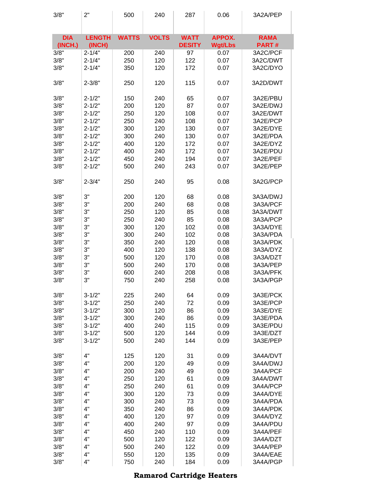| 3/8"                  | 2"                      | 500          | 240          | 287                          | 0.06                            | 3A2A/PEP                    |
|-----------------------|-------------------------|--------------|--------------|------------------------------|---------------------------------|-----------------------------|
| <b>DIA</b><br>(INCH.) | <b>LENGTH</b><br>(INCH) | <b>WATTS</b> | <b>VOLTS</b> | <b>WATT</b><br><b>DESITY</b> | <b>APPOX.</b><br><b>Wgt/Lbs</b> | <b>RAMA</b><br><b>PART#</b> |
| 3/8"                  | $2 - 1/4$               | 200          | 240          | 97                           | 0.07                            | 3A2C/PCF                    |
| 3/8"                  | $2 - 1/4"$              | 250          | 120          | 122                          | 0.07                            | 3A2C/DWT                    |
| 3/8"                  | $2 - 1/4"$              | 350          | 120          | 172                          | 0.07                            | 3A2C/DYO                    |
| 3/8"                  | $2 - 3/8"$              | 250          | 120          | 115                          | 0.07                            | 3A2D/DWT                    |
| 3/8"                  | $2 - 1/2"$              | 150          | 240          | 65                           | 0.07                            | 3A2E/PBU                    |
| 3/8"                  | $2 - 1/2"$              | 200          | 120          | 87                           | 0.07                            | 3A2E/DWJ                    |
| 3/8"                  | $2 - 1/2"$              | 250          | 120          | 108                          | 0.07                            | 3A2E/DWT                    |
| 3/8"                  | $2 - 1/2"$              | 250          | 240          | 108                          | 0.07                            | 3A2E/PCP                    |
| 3/8"                  | $2 - 1/2"$              | 300          | 120          | 130                          | 0.07                            | 3A2E/DYE                    |
| 3/8"                  | $2 - 1/2"$              | 300          | 240          | 130                          | 0.07                            | 3A2E/PDA                    |
| 3/8"                  | $2 - 1/2"$              | 400          | 120          | 172                          | 0.07                            | 3A2E/DYZ                    |
| 3/8"                  | $2 - 1/2"$              | 400          | 240          | 172                          | 0.07                            | 3A2E/PDU                    |
| 3/8"                  | $2 - 1/2"$              | 450          | 240          | 194                          | 0.07                            | 3A2E/PEF                    |
| 3/8"                  | $2 - 1/2"$              | 500          | 240          | 243                          | 0.07                            | 3A2E/PEP                    |
|                       |                         |              |              |                              |                                 |                             |
| 3/8"                  | $2 - 3/4"$              | 250          | 240          | 95                           | 0.08                            | 3A2G/PCP                    |
| 3/8"                  | 3"                      | 200          | 120          | 68                           | 0.08                            | 3A3A/DWJ                    |
| 3/8"                  | 3"                      | 200          | 240          | 68                           | 0.08                            | 3A3A/PCF                    |
| 3/8"                  | 3"                      | 250          | 120          | 85                           | 0.08                            | 3A3A/DWT                    |
| 3/8"                  | 3"                      | 250          | 240          | 85                           | 0.08                            | 3A3A/PCP                    |
| 3/8"                  | 3"                      | 300          | 120          | 102                          | 0.08                            | 3A3A/DYE                    |
| 3/8"                  | 3"                      | 300          | 240          | 102                          | 0.08                            | 3A3A/PDA                    |
| 3/8"                  | 3"                      | 350          | 240          | 120                          | 0.08                            | 3A3A/PDK                    |
| 3/8"                  | 3"                      | 400          | 120          | 138                          | 0.08                            | 3A3A/DYZ                    |
| 3/8"                  | 3"                      | 500          | 120          | 170                          | 0.08                            | 3A3A/DZT                    |
| 3/8"                  | 3"                      | 500          | 240          | 170                          | 0.08                            | 3A3A/PEP                    |
| 3/8"                  | 3"                      | 600          | 240          | 208                          | 0.08                            | 3A3A/PFK                    |
| 3/8"                  | 3"                      | 750          | 240          | 258                          | 0.08                            | 3A3A/PGP                    |
| 3/8"                  | $3 - 1/2"$              | 225          | 240          | 64                           | 0.09                            | 3A3E/PCK                    |
| 3/8"                  | $3 - 1/2"$              | 250          | 240          | 72                           | 0.09                            | 3A3E/PCP                    |
| 3/8"                  | $3 - 1/2"$              | 300          | 120          | 86                           | 0.09                            | 3A3E/DYE                    |
| 3/8"                  | $3 - 1/2"$              | 300          | 240          | 86                           | 0.09                            | 3A3E/PDA                    |
| 3/8"                  | $3 - 1/2"$              | 400          | 240          | 115                          | 0.09                            | 3A3E/PDU                    |
| 3/8"                  | $3 - 1/2"$              | 500          | 120          | 144                          | 0.09                            | 3A3E/DZT                    |
| 3/8"                  | $3 - 1/2"$              | 500          | 240          | 144                          | 0.09                            | 3A3E/PEP                    |
| 3/8"                  | 4"                      | 125          | 120          | 31                           | 0.09                            | 3A4A/DVT                    |
| 3/8"                  | 4"                      | 200          | 120          | 49                           | 0.09                            | 3A4A/DWJ                    |
| 3/8"                  | 4"                      | 200          | 240          | 49                           | 0.09                            | 3A4A/PCF                    |
| 3/8"                  | 4"                      | 250          | 120          | 61                           | 0.09                            | 3A4A/DWT                    |
| 3/8"                  | 4"                      | 250          | 240          | 61                           | 0.09                            | 3A4A/PCP                    |
| 3/8"                  | 4"                      | 300          | 120          | 73                           | 0.09                            | 3A4A/DYE                    |
| 3/8"                  | 4"                      | 300          | 240          | 73                           | 0.09                            | 3A4A/PDA                    |
| 3/8"                  | 4"                      | 350          | 240          | 86                           | 0.09                            | 3A4A/PDK                    |
| 3/8"                  | 4"                      | 400          | 120          | 97                           | 0.09                            | 3A4A/DYZ                    |
| 3/8"                  | 4"                      | 400          | 240          | 97                           | 0.09                            | 3A4A/PDU                    |
| 3/8"                  | 4"                      | 450          | 240          | 110                          | 0.09                            | 3A4A/PEF                    |
| 3/8"                  | 4"                      | 500          | 120          | 122                          | 0.09                            | 3A4A/DZT                    |
| 3/8"                  | 4"                      | 500          | 240          | 122                          | 0.09                            | 3A4A/PEP                    |
| 3/8"                  | 4"                      | 550          | 120          | 135                          | 0.09                            | 3A4A/EAE                    |
| 3/8"                  | 4"                      | 750          | 240          | 184                          | 0.09                            | 3A4A/PGP                    |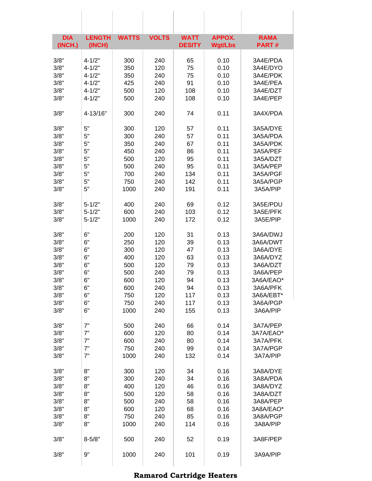| <b>DIA</b><br>(INCH.) | <b>LENGTH</b><br>(INCH) | <b>WATTS</b> | <b>VOLTS</b> | <b>WATT</b><br><b>DESITY</b> | <b>APPOX.</b><br><b>Wgt/Lbs</b> | <b>RAMA</b><br><b>PART#</b> |
|-----------------------|-------------------------|--------------|--------------|------------------------------|---------------------------------|-----------------------------|
| 3/8"                  | $4 - 1/2"$              | 300          | 240          | 65                           | 0.10                            | 3A4E/PDA                    |
| 3/8"                  | $4 - 1/2"$              | 350          | 120          | 75                           | 0.10                            | 3A4E/DYO                    |
| 3/8"                  | $4 - 1/2"$              | 350          | 240          | 75                           | 0.10                            | 3A4E/PDK                    |
| 3/8"                  | $4 - 1/2"$              | 425          | 240          | 91                           | 0.10                            | 3A4E/PEA                    |
| 3/8"                  | $4 - 1/2"$              | 500          | 120          | 108                          | 0.10                            | 3A4E/DZT                    |
| 3/8"                  | $4 - 1/2"$              | 500          | 240          | 108                          | 0.10                            | 3A4E/PEP                    |
| 3/8"                  | 4-13/16"                | 300          | 240          | 74                           | 0.11                            | 3A4X/PDA                    |
|                       |                         |              |              |                              |                                 |                             |
| 3/8"                  | 5"                      | 300          | 120          | 57                           | 0.11                            | 3A5A/DYE                    |
| 3/8"                  | 5"                      | 300          | 240          | 57                           | 0.11                            | 3A5A/PDA                    |
| 3/8"                  | 5"                      | 350          | 240          | 67                           | 0.11                            | 3A5A/PDK                    |
| 3/8"                  | 5"                      | 450          | 240          | 86                           | 0.11                            | 3A5A/PEF                    |
| 3/8"                  | 5"                      | 500          | 120          | 95                           | 0.11                            | 3A5A/DZT                    |
| 3/8"                  | 5"                      | 500          | 240          | 95                           | 0.11                            | 3A5A/PEP                    |
| 3/8"                  | 5"                      | 700          | 240          | 134                          | 0.11                            | 3A5A/PGF                    |
| 3/8"                  | 5"                      | 750          | 240          | 142                          | 0.11                            | 3A5A/PGP                    |
| 3/8"                  | 5"                      | 1000         | 240          | 191                          | 0.11                            | 3A5A/PIP                    |
| 3/8"                  | $5 - 1/2"$              | 400          | 240          | 69                           | 0.12                            | 3A5E/PDU                    |
| 3/8"                  | $5 - 1/2"$              | 600          | 240          | 103                          | 0.12                            | 3A5E/PFK                    |
| 3/8"                  | $5 - 1/2"$              | 1000         | 240          | 172                          | 0.12                            | 3A5E/PIP                    |
| 3/8"                  | 6"                      | 200          | 120          | 31                           | 0.13                            | 3A6A/DWJ                    |
| 3/8"                  | 6"                      | 250          | 120          | 39                           | 0.13                            | 3A6A/DWT                    |
| 3/8"                  | 6"                      | 300          | 120          | 47                           | 0.13                            | 3A6A/DYE                    |
| 3/8"                  | 6"                      | 400          | 120          | 63                           | 0.13                            | 3A6A/DYZ                    |
| 3/8"                  | 6"                      | 500          | 120          | 79                           | 0.13                            | 3A6A/DZT                    |
| 3/8"                  | 6"                      | 500          | 240          | 79                           | 0.13                            | 3A6A/PEP                    |
| 3/8"                  | 6"                      | 600          | 120          | 94                           | 0.13                            | 3A6A/EAO*                   |
| 3/8"                  | 6"                      | 600          | 240          | 94                           | 0.13                            | 3A6A/PFK                    |
| 3/8"                  | 6"                      | 750          | 120          | 117                          | 0.13                            | 3A6A/EBT*                   |
| 3/8"                  | 6"                      | 750          | 240          | 117                          | 0.13                            | 3A6A/PGP                    |
| 3/8"                  | 6"                      | 1000         | 240          | 155                          | 0.13                            | 3A6A/PIP                    |
|                       |                         |              |              |                              |                                 |                             |
| 3/8"                  | 7"                      | 500          | 240          | 66                           | 0.14                            | 3A7A/PEP                    |
| 3/8"                  | 7"                      | 600          | 120          | 80                           | 0.14                            | 3A7A/EAO*                   |
| 3/8"                  | 7"                      | 600          | 240          | 80                           | 0.14                            | 3A7A/PFK                    |
| 3/8"                  | 7"                      | 750          | 240          | 99                           | 0.14                            | 3A7A/PGP                    |
| 3/8"                  | 7"                      | 1000         | 240          | 132                          | 0.14                            | 3A7A/PIP                    |
| 3/8"                  | 8"                      | 300          | 120          | 34                           | 0.16                            | 3A8A/DYE                    |
| 3/8"                  | 8"                      | 300          | 240          | 34                           | 0.16                            | 3A8A/PDA                    |
| 3/8"                  | 8"                      | 400          | 120          | 46                           | 0.16                            | 3A8A/DYZ                    |
| 3/8"                  | 8"                      | 500          | 120          | 58                           | 0.16                            | 3A8A/DZT                    |
| 3/8"                  | 8"                      | 500          | 240          | 58                           | 0.16                            | 3A8A/PEP                    |
| 3/8"                  | 8"                      | 600          | 120          | 68                           | 0.16                            | 3A8A/EAO*                   |
| 3/8"                  | 8"                      | 750          | 240          | 85                           | 0.16                            | 3A8A/PGP                    |
| 3/8"                  | 8"                      | 1000         | 240          | 114                          | 0.16                            | 3A8A/PIP                    |
|                       |                         |              |              |                              |                                 |                             |
| 3/8"                  | $8 - 5/8"$              | 500          | 240          | 52                           | 0.19                            | 3A8F/PEP                    |
| 3/8"                  | 9"                      | 1000         | 240          | 101                          | 0.19                            | 3A9A/PIP                    |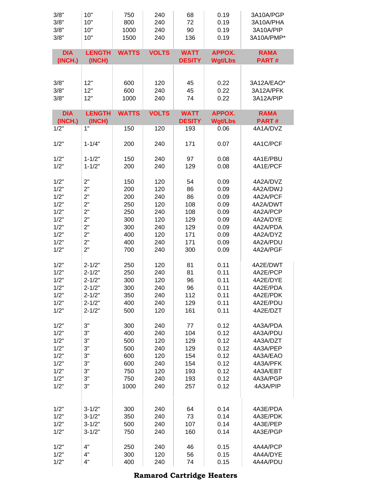| 3/8"                  | 10"                     | 750          | 240          | 68                           | 0.19                            | 3A10A/PGP                   |
|-----------------------|-------------------------|--------------|--------------|------------------------------|---------------------------------|-----------------------------|
| 3/8"                  | 10"                     | 800          | 240          | 72                           | 0.19                            | 3A10A/PHA                   |
| 3/8"                  | 10"                     | 1000         | 240          | 90                           | 0.19                            | 3A10A/PIP                   |
| 3/8"                  | 10"                     | 1500         | 240          | 136                          | 0.19                            | 3A10A/PMP*                  |
| <b>DIA</b><br>(INCH.) | <b>LENGTH</b><br>(INCH) | <b>WATTS</b> | <b>VOLTS</b> | <b>WATT</b><br><b>DESITY</b> | <b>APPOX.</b><br><b>Wgt/Lbs</b> | <b>RAMA</b><br>PART#        |
| 3/8"                  | 12"                     | 600          | 120          | 45                           | 0.22                            | 3A12A/EAO*                  |
| 3/8"                  | 12"                     | 600          | 240          | 45                           | 0.22                            | 3A12A/PFK                   |
| 3/8"                  | 12"                     | 1000         | 240          | 74                           | 0.22                            | 3A12A/PIP                   |
| <b>DIA</b><br>(INCH.) | <b>LENGTH</b><br>(INCH) | <b>WATTS</b> | <b>VOLTS</b> | <b>WATT</b><br><b>DESITY</b> | <b>APPOX.</b><br><b>Wgt/Lbs</b> | <b>RAMA</b><br><b>PART#</b> |
| 1/2"                  | 1"                      | 150          | 120          | 193                          | 0.06                            | 4A1A/DVZ                    |
| 1/2"                  | $1 - 1/4"$              | 200          | 240          | 171                          | 0.07                            | 4A1C/PCF                    |
| 1/2"                  | $1 - 1/2"$              | 150          | 240          | 97                           | 0.08                            | 4A1E/PBU                    |
| 1/2"                  | $1 - 1/2"$              | 200          | 240          | 129                          | 0.08                            | 4A1E/PCF                    |
| 1/2"                  | 2"                      | 150          | 120          | 54                           | 0.09                            | 4A2A/DVZ                    |
| 1/2"                  | 2"                      | 200          | 120          | 86                           | 0.09                            | 4A2A/DWJ                    |
| 1/2"                  | 2"                      | 200          | 240          | 86                           | 0.09                            | 4A2A/PCF                    |
| 1/2"                  | 2"                      | 250          | 120          | 108                          | 0.09                            | 4A2A/DWT                    |
| 1/2"                  | 2"                      | 250          | 240          | 108                          | 0.09                            | 4A2A/PCP                    |
| 1/2"                  | 2"                      | 300          | 120          | 129                          | 0.09                            | 4A2A/DYE                    |
| 1/2"                  | 2"                      | 300          | 240          | 129                          | 0.09                            | 4A2A/PDA                    |
| 1/2"                  | 2"                      | 400          | 120          | 171                          | 0.09                            | 4A2A/DYZ                    |
| 1/2"                  | 2"                      | 400          | 240          | 171                          | 0.09                            | 4A2A/PDU                    |
| 1/2"                  | 2"                      | 700          | 240          | 300                          | 0.09                            | 4A2A/PGF                    |
| 1/2"                  | $2 - 1/2"$              | 250          | 120          | 81                           | 0.11                            | 4A2E/DWT                    |
| 1/2"                  | $2 - 1/2"$              | 250          | 240          | 81                           | 0.11                            | 4A2E/PCP                    |
| 1/2"                  | $2 - 1/2"$              | 300          | 120          | 96                           | 0.11                            | 4A2E/DYE                    |
| 1/2"                  | $2 - 1/2"$              | 300          | 240          | 96                           | 0.11                            | 4A2E/PDA                    |
| 1/2"                  | $2 - 1/2"$              | 350          | 240          | 112                          | 0.11                            | 4A2E/PDK                    |
| 1/2"                  | $2 - 1/2"$              | 400          | 240          | 129                          | 0.11                            | 4A2E/PDU                    |
| 1/2"                  | $2 - 1/2"$              | 500          | 120          | 161                          | 0.11                            | 4A2E/DZT                    |
| 1/2"                  | 3"                      | 300          | 240          | 77                           | 0.12                            | 4A3A/PDA                    |
| 1/2"                  | 3"                      | 400          | 240          | 104                          | 0.12                            | 4A3A/PDU                    |
| 1/2"                  | 3"                      | 500          | 120          | 129                          | 0.12                            | 4A3A/DZT                    |
| 1/2"                  | 3"                      | 500          | 240          | 129                          | 0.12                            | 4A3A/PEP                    |
| 1/2"                  | 3"                      | 600          | 120          | 154                          | 0.12                            | 4A3A/EAO                    |
| 1/2"                  | 3"                      | 600          | 240          | 154                          | 0.12                            | 4A3A/PFK                    |
| 1/2"                  | 3"                      | 750          | 120          | 193                          | 0.12                            | 4A3A/EBT                    |
| 1/2"                  | 3"                      | 750          | 240          | 193                          | 0.12                            | 4A3A/PGP                    |
| 1/2"                  | 3"                      | 1000         | 240          | 257                          | 0.12                            | 4A3A/PIP                    |
| 1/2"                  | $3 - 1/2"$              | 300          | 240          | 64                           | 0.14                            | 4A3E/PDA                    |
| 1/2"                  | $3 - 1/2"$              | 350          | 240          | 73                           | 0.14                            | 4A3E/PDK                    |
| 1/2"                  | $3 - 1/2"$              | 500          | 240          | 107                          | 0.14                            | 4A3E/PEP                    |
| 1/2"                  | $3 - 1/2"$              | 750          | 240          | 160                          | 0.14                            | 4A3E/PGP                    |
| 1/2"                  | 4"                      | 250          | 240          | 46                           | 0.15                            | 4A4A/PCP                    |
| 1/2"                  | 4"                      | 300          | 120          | 56                           | 0.15                            | 4A4A/DYE                    |
| 1/2"                  | 4"                      | 400          | 240          | 74                           | 0.15                            | 4A4A/PDU                    |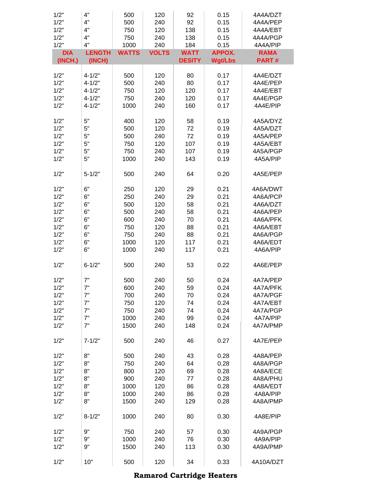| 1/2"<br>1/2"<br>1/2" | 4"<br>4"<br>4" | 500<br>500<br>750 | 120<br>240<br>120 | 92<br>92<br>138 | 0.15<br>0.15<br>0.15 | 4A4A/DZT<br>4A4A/PEP<br>4A4A/EBT |
|----------------------|----------------|-------------------|-------------------|-----------------|----------------------|----------------------------------|
| 1/2"<br>1/2"         | 4"<br>4"       | 750<br>1000       | 240<br>240        | 138<br>184      | 0.15<br>0.15         | 4A4A/PGP<br>4A4A/PIP             |
| <b>DIA</b>           | <b>LENGTH</b>  | <b>WATTS</b>      | <b>VOLTS</b>      | <b>WATT</b>     | <b>APPOX.</b>        | <b>RAMA</b>                      |
| (INCH.)              | (INCH)         |                   |                   | <b>DESITY</b>   | <b>Wgt/Lbs</b>       | <b>PART#</b>                     |
| 1/2"                 | $4 - 1/2"$     | 500               | 120               | 80              | 0.17                 | 4A4E/DZT                         |
| 1/2"                 | $4 - 1/2"$     | 500               | 240               | 80              | 0.17                 | 4A4E/PEP                         |
| 1/2"                 | $4 - 1/2"$     | 750               | 120               | 120             | 0.17                 | 4A4E/EBT                         |
| 1/2"                 | $4 - 1/2"$     | 750               | 240               | 120             | 0.17                 | 4A4E/PGP                         |
| 1/2"                 | $4 - 1/2"$     | 1000              | 240               | 160             | 0.17                 | 4A4E/PIP                         |
| 1/2"                 | 5"             | 400               | 120               | 58              | 0.19                 | 4A5A/DYZ                         |
| 1/2"                 | 5"             | 500               | 120               | 72              | 0.19                 | 4A5A/DZT                         |
| 1/2"                 | 5"             | 500               | 240               | 72              | 0.19                 | 4A5A/PEP                         |
| 1/2"                 | 5"             | 750               | 120               | 107             | 0.19                 | 4A5A/EBT                         |
| 1/2"                 | 5"             | 750               | 240               | 107             | 0.19                 | 4A5A/PGP                         |
| 1/2"                 | 5"             | 1000              | 240               | 143             | 0.19                 | 4A5A/PIP                         |
| 1/2"                 | $5 - 1/2"$     | 500               | 240               | 64              | 0.20                 | 4A5E/PEP                         |
| 1/2"                 | 6"             | 250               | 120               | 29              | 0.21                 | 4A6A/DWT                         |
| 1/2"                 | 6"             | 250               | 240               | 29              | 0.21                 | 4A6A/PCP                         |
| 1/2"                 | 6"             | 500               | 120               | 58              | 0.21                 | 4A6A/DZT                         |
| 1/2"                 | 6"             | 500               | 240               | 58              | 0.21                 | 4A6A/PEP                         |
| 1/2"                 | 6"             | 600               | 240               | 70              | 0.21                 | 4A6A/PFK                         |
| 1/2"                 | 6"             | 750               | 120               | 88              | 0.21                 | 4A6A/EBT                         |
| 1/2"                 | 6"             | 750               | 240               | 88              | 0.21                 | 4A6A/PGP                         |
| 1/2"                 | 6"             | 1000              | 120               | 117             | 0.21                 | 4A6A/EDT                         |
| 1/2"                 | 6"             | 1000              | 240               | 117             | 0.21                 | 4A6A/PIP                         |
| 1/2"                 | $6 - 1/2"$     | 500               | 240               | 53              | 0.22                 | 4A6E/PEP                         |
| 1/2"                 | 7"             | 500               | 240               | 50              | 0.24                 | 4A7A/PEP                         |
| 1/2"                 | 7"             | 600               | 240               | 59              | 0.24                 | 4A7A/PFK                         |
| 1/2"                 | 7"             | 700               | 240               | 70              | 0.24                 | 4A7A/PGF                         |
| 1/2"                 | 7"             | 750               | 120               | 74              | 0.24                 | 4A7A/EBT                         |
| 1/2"                 | 7"             | 750               | 240               | 74              | 0.24                 | 4A7A/PGP                         |
| 1/2"                 | 7"             | 1000              | 240               | 99              | 0.24                 | 4A7A/PIP                         |
| 1/2"                 | 7"             | 1500              | 240               | 148             | 0.24                 | 4A7A/PMP                         |
| 1/2"                 | $7 - 1/2"$     | 500               | 240               | 46              | 0.27                 | 4A7E/PEP                         |
| 1/2"                 | 8"             | 500               | 240               | 43              | 0.28                 | 4A8A/PEP                         |
| 1/2"                 | 8"             | 750               | 240               | 64              | 0.28                 | 4A8A/PGP                         |
| 1/2"                 | 8"             | 800               | 120               | 69              | 0.28                 | 4A8A/ECE                         |
| 1/2"                 | 8"             | 900               | 240               | 77              | 0.28                 | 4A8A/PHU                         |
| 1/2"                 | 8"             | 1000              | 120               | 86              | 0.28                 | 4A8A/EDT                         |
| 1/2"                 | 8"             | 1000              | 240               | 86              | 0.28                 | 4A8A/PIP                         |
| 1/2"                 | 8"             | 1500              | 240               | 129             | 0.28                 | 4A8A/PMP                         |
| 1/2"                 | $8 - 1/2"$     | 1000              | 240               | 80              | 0.30                 | 4A8E/PIP                         |
| 1/2"                 | 9"             | 750               | 240               | 57              | 0.30                 | 4A9A/PGP                         |
| 1/2"                 | 9"             | 1000              | 240               | 76              | 0.30                 | 4A9A/PIP                         |
| 1/2"                 | 9"             | 1500              | 240               | 113             | 0.30                 | 4A9A/PMP                         |
| 1/2"                 | 10"            | 500               | 120               | 34              | 0.33                 | 4A10A/DZT                        |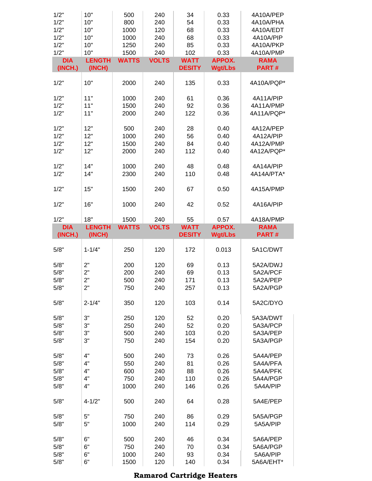| 1/2"<br>1/2"<br>1/2"<br>1/2"<br>1/2"<br>1/2"<br><b>DIA</b><br>(INCH.) | 10"<br>10"<br>10"<br>10"<br>10"<br>10"<br><b>LENGTH</b><br>(INCH) | 500<br>800<br>1000<br>1000<br>1250<br>1500<br><b>WATTS</b> | 240<br>240<br>120<br>240<br>240<br>240<br><b>VOLTS</b> | 34<br>54<br>68<br>68<br>85<br>102<br><b>WATT</b><br><b>DESITY</b> | 0.33<br>0.33<br>0.33<br>0.33<br>0.33<br>0.33<br><b>APPOX.</b><br><b>Wgt/Lbs</b> | 4A10A/PEP<br>4A10A/PHA<br>4A10A/EDT<br>4A10A/PIP<br>4A10A/PKP<br>4A10A/PMP<br><b>RAMA</b><br><b>PART#</b> |
|-----------------------------------------------------------------------|-------------------------------------------------------------------|------------------------------------------------------------|--------------------------------------------------------|-------------------------------------------------------------------|---------------------------------------------------------------------------------|-----------------------------------------------------------------------------------------------------------|
| 1/2"                                                                  | 10"                                                               | 2000                                                       | 240                                                    | 135                                                               |                                                                                 | 4A10A/PQP*                                                                                                |
|                                                                       |                                                                   |                                                            |                                                        |                                                                   | 0.33                                                                            |                                                                                                           |
| 1/2"<br>1/2"<br>1/2"                                                  | 11"<br>11"<br>11"                                                 | 1000<br>1500<br>2000                                       | 240<br>240<br>240                                      | 61<br>92<br>122                                                   | 0.36<br>0.36<br>0.36                                                            | 4A11A/PIP<br>4A11A/PMP<br>4A11A/PQP*                                                                      |
| 1/2"                                                                  | 12"<br>12"                                                        | 500                                                        | 240                                                    | 28                                                                | 0.40                                                                            | 4A12A/PEP                                                                                                 |
| 1/2"<br>1/2"                                                          | 12"                                                               | 1000<br>1500                                               | 240<br>240                                             | 56<br>84                                                          | 0.40<br>0.40                                                                    | 4A12A/PIP<br>4A12A/PMP                                                                                    |
| 1/2"                                                                  | 12"                                                               | 2000                                                       | 240                                                    | 112                                                               | 0.40                                                                            | 4A12A/PQP*                                                                                                |
| 1/2"<br>1/2"                                                          | 14"<br>14"                                                        | 1000<br>2300                                               | 240<br>240                                             | 48<br>110                                                         | 0.48<br>0.48                                                                    | 4A14A/PIP<br>4A14A/PTA*                                                                                   |
| 1/2"                                                                  | 15"                                                               | 1500                                                       | 240                                                    | 67                                                                | 0.50                                                                            | 4A15A/PMP                                                                                                 |
| 1/2"                                                                  | 16"                                                               | 1000                                                       | 240                                                    | 42                                                                | 0.52                                                                            | 4A16A/PIP                                                                                                 |
| 1/2"                                                                  | 18"                                                               | 1500                                                       | 240                                                    | 55                                                                | 0.57                                                                            | 4A18A/PMP                                                                                                 |
| <b>DIA</b><br>(INCH.)                                                 | <b>LENGTH</b><br>(INCH)                                           | <b>WATTS</b>                                               | <b>VOLTS</b>                                           | <b>WATT</b><br><b>DESITY</b>                                      | <b>APPOX.</b><br><b>Wgt/Lbs</b>                                                 | <b>RAMA</b><br><b>PART#</b>                                                                               |
| 5/8"                                                                  | $1 - 1/4"$                                                        | 250                                                        | 120                                                    | 172                                                               | 0.013                                                                           | 5A1C/DWT                                                                                                  |
| 5/8"<br>5/8"                                                          | 2"<br>2"                                                          | 200<br>200                                                 | 120                                                    | 69                                                                | 0.13                                                                            | 5A2A/DWJ                                                                                                  |
| 5/8"                                                                  |                                                                   |                                                            |                                                        |                                                                   |                                                                                 |                                                                                                           |
|                                                                       | 2"                                                                | 500                                                        | 240<br>240                                             | 69<br>171                                                         | 0.13<br>0.13                                                                    | 5A2A/PCF<br>5A2A/PEP                                                                                      |
| 5/8"                                                                  | 2"                                                                | 750                                                        | 240                                                    | 257                                                               | 0.13                                                                            | 5A2A/PGP                                                                                                  |
| 5/8"                                                                  | $2 - 1/4"$                                                        | 350                                                        | 120                                                    | 103                                                               | 0.14                                                                            | 5A2C/DYO                                                                                                  |
| 5/8"                                                                  | 3"                                                                | 250                                                        | 120                                                    | 52                                                                | 0.20                                                                            | 5A3A/DWT                                                                                                  |
| 5/8"                                                                  | 3"                                                                | 250                                                        | 240                                                    | 52                                                                | 0.20                                                                            | 5A3A/PCP                                                                                                  |
| 5/8"<br>5/8"                                                          | 3"<br>3"                                                          | 500<br>750                                                 | 240<br>240                                             | 103<br>154                                                        | 0.20<br>0.20                                                                    | 5A3A/PEP<br>5A3A/PGP                                                                                      |
| 5/8"                                                                  | 4"                                                                | 500                                                        | 240                                                    | 73                                                                | 0.26                                                                            | 5A4A/PEP                                                                                                  |
| 5/8"                                                                  | 4"                                                                | 550                                                        | 240                                                    | 81                                                                | 0.26                                                                            | 5A4A/PFA                                                                                                  |
| 5/8"                                                                  | 4"                                                                | 600                                                        | 240                                                    | 88                                                                | 0.26                                                                            | 5A4A/PFK                                                                                                  |
| 5/8"<br>5/8"                                                          | 4"<br>4"                                                          | 750<br>1000                                                | 240<br>240                                             | 110<br>146                                                        | 0.26<br>0.26                                                                    | 5A4A/PGP<br>5A4A/PIP                                                                                      |
| 5/8"                                                                  | $4 - 1/2"$                                                        | 500                                                        | 240                                                    | 64                                                                | 0.28                                                                            | 5A4E/PEP                                                                                                  |
| 5/8"                                                                  | 5"                                                                | 750                                                        | 240                                                    | 86                                                                | 0.29                                                                            | 5A5A/PGP                                                                                                  |
| 5/8"                                                                  | 5"                                                                | 1000                                                       | 240                                                    | 114                                                               | 0.29                                                                            | 5A5A/PIP                                                                                                  |
| 5/8"                                                                  | 6"                                                                | 500                                                        | 240                                                    | 46                                                                | 0.34                                                                            | 5A6A/PEP                                                                                                  |
| 5/8"<br>5/8"                                                          | 6"<br>6"                                                          | 750<br>1000                                                | 240<br>240                                             | 70<br>93                                                          | 0.34<br>0.34                                                                    | 5A6A/PGP<br>5A6A/PIP                                                                                      |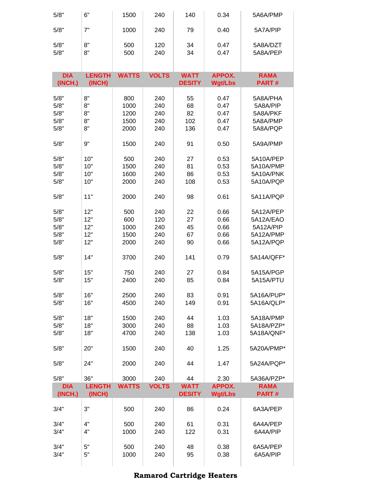| 5/8"       | 6"            | 1500         | 240          | 140           | 0.34           | 5A6A/PMP     |
|------------|---------------|--------------|--------------|---------------|----------------|--------------|
| 5/8"       | 7"            | 1000         | 240          | 79            | 0.40           | 5A7A/PIP     |
| 5/8"       | 8"            | 500          | 120          | 34            | 0.47           | 5A8A/DZT     |
| 5/8"       | 8"            | 500          | 240          | 34            | 0.47           | 5A8A/PEP     |
|            |               |              |              |               |                |              |
| <b>DIA</b> | <b>LENGTH</b> | <b>WATTS</b> | <b>VOLTS</b> | <b>WATT</b>   | <b>APPOX.</b>  | <b>RAMA</b>  |
| (INCH.)    | (INCH)        |              |              | <b>DESITY</b> | <b>Wgt/Lbs</b> | <b>PART#</b> |
| 5/8"       | 8"            | 800          | 240          | 55            | 0.47           | 5A8A/PHA     |
| 5/8"       | 8"            | 1000         | 240          | 68            | 0.47           | 5A8A/PIP     |
| 5/8"       | 8"            | 1200         | 240          | 82            | 0.47           | 5A8A/PKF     |
| 5/8"       | 8"            | 1500         | 240          | 102           | 0.47           | 5A8A/PMP     |
| 5/8"       | 8"            | 2000         | 240          | 136           | 0.47           | 5A8A/PQP     |
|            |               |              |              |               |                |              |
| 5/8"       | 9"            | 1500         | 240          | 91            | 0.50           | 5A9A/PMP     |
| 5/8"       | 10"           | 500          | 240          | 27            | 0.53           | 5A10A/PEP    |
| 5/8"       | 10"           | 1500         | 240          | 81            | 0.53           | 5A10A/PMP    |
| 5/8"       | 10"           | 1600         | 240          | 86            | 0.53           | 5A10A/PNK    |
| 5/8"       | 10"           | 2000         | 240          | 108           | 0.53           | 5A10A/PQP    |
|            |               |              |              |               |                |              |
| 5/8"       | 11"           | 2000         | 240          | 98            | 0.61           | 5A11A/PQP    |
| 5/8"       | 12"           | 500          | 240          | 22            | 0.66           | 5A12A/PEP    |
| 5/8"       | 12"           | 600          | 120          | 27            | 0.66           | 5A12A/EAO    |
| 5/8"       | 12"           | 1000         | 240          | 45            | 0.66           | 5A12A/PIP    |
| 5/8"       | 12"           | 1500         | 240          | 67            | 0.66           | 5A12A/PMP    |
| 5/8"       | 12"           | 2000         | 240          | 90            | 0.66           | 5A12A/PQP    |
|            |               |              |              |               |                |              |
| 5/8"       | 14"           | 3700         | 240          | 141           | 0.79           | 5A14A/QFF*   |
| 5/8"       | 15"           | 750          | 240          | 27            | 0.84           | 5A15A/PGP    |
| 5/8"       | 15"           | 2400         | 240          | 85            | 0.84           | 5A15A/PTU    |
|            |               |              |              |               |                |              |
| 5/8"       | 16"           | 2500         | 240          | 83            | 0.91           | 5A16A/PUP*   |
| 5/8"       | 16"           | 4500         | 240          | 149           | 0.91           | 5A16A/QLP*   |
| 5/8"       | 18"           | 1500         | 240          | 44            | 1.03           | 5A18A/PMP    |
| 5/8"       | 18"           | 3000         | 240          | 88            | 1.03           | 5A18A/PZP*   |
| 5/8"       | 18"           | 4700         | 240          | 138           | 1.03           | 5A18A/QNF*   |
|            |               |              |              |               |                |              |
| 5/8"       | 20"           | 1500         | 240          | 40            | 1.25           | 5A20A/PMP*   |
| 5/8"       | 24"           | 2000         | 240          | 44            | 1.47           | 5A24A/PQP*   |
| 5/8"       | 36"           | 3000         | 240          | 44            | 2.30           | 5A36A/PZP*   |
| <b>DIA</b> | <b>LENGTH</b> | <b>WATTS</b> | <b>VOLTS</b> | <b>WATT</b>   | <b>APPOX.</b>  | <b>RAMA</b>  |
| (INCH.)    | (INCH)        |              |              | <b>DESITY</b> | <b>Wgt/Lbs</b> | <b>PART#</b> |
| 3/4"       | 3"            | 500          | 240          | 86            | 0.24           | 6A3A/PEP     |
| 3/4"       | 4"            | 500          | 240          | 61            | 0.31           | 6A4A/PEP     |
| 3/4"       | 4"            | 1000         | 240          | 122           | 0.31           | 6A4A/PIP     |
|            |               |              |              |               |                |              |
| 3/4"       | 5"            | 500          | 240          | 48            | 0.38           | 6A5A/PEP     |
| 3/4"       | 5"            | 1000         | 240          | 95            | 0.38           | 6A5A/PIP     |
|            |               |              |              |               |                |              |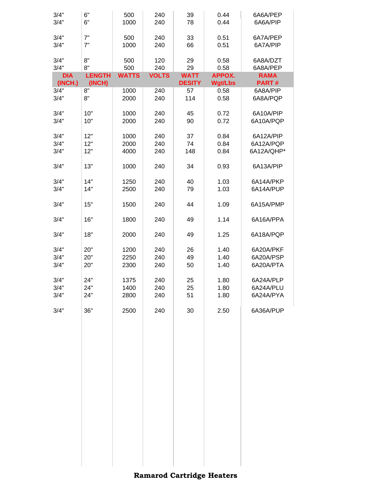| 3/4"<br>3/4"          | 6"<br>6"                | 500<br>1000  | 240<br>240   | 39<br>78                     | 0.44<br>0.44                    | 6A6A/PEP<br>6A6A/PIP |
|-----------------------|-------------------------|--------------|--------------|------------------------------|---------------------------------|----------------------|
|                       |                         |              |              |                              |                                 |                      |
| 3/4"                  | 7"                      | 500          | 240          | 33                           | 0.51                            | 6A7A/PEP             |
| 3/4"                  | 7"                      | 1000         | 240          | 66                           | 0.51                            | 6A7A/PIP             |
| 3/4"                  | 8"                      | 500          | 120          | 29                           | 0.58                            | 6A8A/DZT             |
| 3/4"                  | 8"                      | 500          | 240          | 29                           | 0.58                            | 6A8A/PEP             |
| <b>DIA</b><br>(INCH.) | <b>LENGTH</b><br>(INCH) | <b>WATTS</b> | <b>VOLTS</b> | <b>WATT</b><br><b>DESITY</b> | <b>APPOX.</b><br><b>Wgt/Lbs</b> | <b>RAMA</b><br>PART# |
| 3/4"                  | 8"                      | 1000         | 240          | 57                           | 0.58                            | 6A8A/PIP             |
| 3/4"                  | 8"                      | 2000         | 240          | 114                          | 0.58                            | 6A8A/PQP             |
|                       |                         |              |              |                              |                                 |                      |
| 3/4"                  | 10"                     | 1000         | 240          | 45                           | 0.72                            | 6A10A/PIP            |
| 3/4"                  | 10"                     | 2000         | 240          | 90                           | 0.72                            | 6A10A/PQP            |
| 3/4"                  | 12"                     | 1000         | 240          | 37                           | 0.84                            | 6A12A/PIP            |
| 3/4"                  | 12"                     | 2000         | 240          | 74                           | 0.84                            | 6A12A/PQP            |
| 3/4"                  | 12"                     | 4000         | 240          | 148                          | 0.84                            | 6A12A/QHP*           |
| 3/4"                  | 13"                     | 1000         | 240          | 34                           | 0.93                            | 6A13A/PIP            |
| 3/4"                  | 14"                     | 1250         | 240          | 40                           | 1.03                            | 6A14A/PKP            |
| 3/4"                  | 14"                     | 2500         | 240          | 79                           | 1.03                            | 6A14A/PUP            |
| 3/4"                  | 15"                     | 1500         | 240          | 44                           | 1.09                            | 6A15A/PMP            |
| 3/4"                  | 16"                     | 1800         | 240          | 49                           | 1.14                            | 6A16A/PPA            |
| 3/4"                  | 18"                     | 2000         | 240          | 49                           | 1.25                            | 6A18A/PQP            |
| 3/4"                  | 20"                     | 1200         | 240          | 26                           | 1.40                            | 6A20A/PKF            |
| 3/4"                  | 20"                     | 2250         | 240          | 49                           | 1.40                            | 6A20A/PSP            |
| 3/4"                  | 20"                     | 2300         | 240          | 50                           | 1.40                            | 6A20A/PTA            |
| 3/4"                  | 24"                     | 1375         | 240          | 25                           | 1.80                            | 6A24A/PLP            |
| 3/4"                  | 24"                     | 1400         | 240          | 25                           | 1.80                            | 6A24A/PLU            |
| 3/4"                  | 24"                     | 2800         | 240          | 51                           | 1.80                            | 6A24A/PYA            |
| 3/4"                  | 36"                     | 2500         | 240          | 30                           | 2.50                            | 6A36A/PUP            |
|                       |                         |              |              |                              |                                 |                      |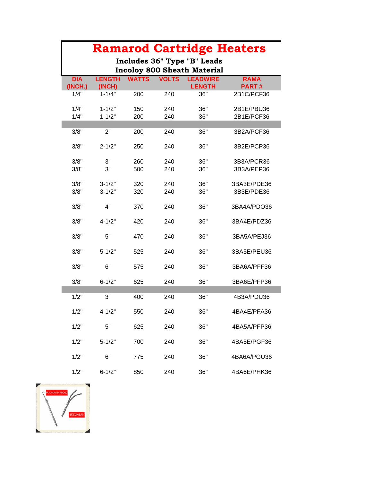|            |               |              |              | <b>Ramarod Cartridge Heaters</b>                      |              |
|------------|---------------|--------------|--------------|-------------------------------------------------------|--------------|
|            |               |              |              | Includes 36" Type "B" Leads                           |              |
| <b>DIA</b> | <b>LENGTH</b> | <b>WATTS</b> | <b>VOLTS</b> | <b>Incoloy 800 Sheath Material</b><br><b>LEADWIRE</b> | <b>RAMA</b>  |
| (INCH.)    | (INCH)        |              |              | <b>LENGTH</b>                                         | <b>PART#</b> |
| 1/4"       | $1 - 1/4"$    | 200          | 240          | 36"                                                   | 2B1C/PCF36   |
| 1/4"       | $1 - 1/2"$    | 150          | 240          | 36"                                                   | 2B1E/PBU36   |
| 1/4"       | $1 - 1/2"$    | 200          | 240          | 36"                                                   | 2B1E/PCF36   |
| 3/8"       | 2"            | 200          | 240          | 36"                                                   | 3B2A/PCF36   |
|            |               |              |              |                                                       |              |
| 3/8"       | $2 - 1/2"$    | 250          | 240          | 36"                                                   | 3B2E/PCP36   |
| 3/8"       | 3"            | 260          | 240          | 36"                                                   | 3B3A/PCR36   |
| 3/8"       | 3"            | 500          | 240          | 36"                                                   | 3B3A/PEP36   |
|            |               |              |              |                                                       |              |
| 3/8"       | $3 - 1/2"$    | 320          | 240          | 36"                                                   | 3BA3E/PDE36  |
| 3/8"       | $3 - 1/2"$    | 320          | 240          | 36"                                                   | 3B3E/PDE36   |
| 3/8"       | 4"            | 370          | 240          | 36"                                                   | 3BA4A/PDO36  |
| 3/8"       | $4 - 1/2"$    | 420          | 240          | 36"                                                   | 3BA4E/PDZ36  |
| 3/8"       | 5"            | 470          | 240          | 36"                                                   | 3BA5A/PEJ36  |
| 3/8"       | $5 - 1/2"$    | 525          | 240          | 36"                                                   | 3BA5E/PEU36  |
| 3/8"       | 6"            | 575          | 240          | 36"                                                   | 3BA6A/PFF36  |
| 3/8"       | $6 - 1/2"$    | 625          | 240          | 36"                                                   | 3BA6E/PFP36  |
|            |               |              |              |                                                       |              |
| 1/2"       | 3"            | 400          | 240          | 36"                                                   | 4B3A/PDU36   |
| 1/2"       | $4 - 1/2"$    | 550          | 240          | 36"                                                   | 4BA4E/PFA36  |
| 1/2"       | 5"            | 625          | 240          | 36"                                                   | 4BA5A/PFP36  |
| 1/2"       | $5 - 1/2"$    | 700          | 240          | 36"                                                   | 4BA5E/PGF36  |
| 1/2"       | 6"            | 775          | 240          | 36"                                                   | 4BA6A/PGU36  |
| 1/2"       | $6 - 1/2"$    | 850          | 240          | 36"                                                   | 4BA6E/PHK36  |

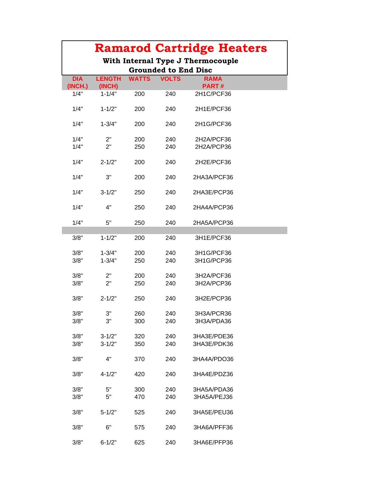|                                                                  |               |              |              | <b>Ramarod Cartridge Heaters</b> |  |  |  |  |
|------------------------------------------------------------------|---------------|--------------|--------------|----------------------------------|--|--|--|--|
| With Internal Type J Thermocouple<br><b>Grounded to End Disc</b> |               |              |              |                                  |  |  |  |  |
| <b>DIA</b>                                                       | <b>LENGTH</b> | <b>WATTS</b> | <b>VOLTS</b> | <b>RAMA</b>                      |  |  |  |  |
| (INCH.)                                                          | (INCH)        |              |              | <b>PART#</b>                     |  |  |  |  |
| 1/4"                                                             | $1 - 1/4"$    | 200          | 240          | 2H1C/PCF36                       |  |  |  |  |
| 1/4"                                                             | $1 - 1/2"$    | 200          | 240          | 2H1E/PCF36                       |  |  |  |  |
| 1/4"                                                             | $1 - 3/4"$    | 200          | 240          | 2H1G/PCF36                       |  |  |  |  |
| 1/4"                                                             | 2"            | 200          | 240          | 2H2A/PCF36                       |  |  |  |  |
| 1/4"                                                             | 2"            | 250          | 240          | 2H2A/PCP36                       |  |  |  |  |
| 1/4"                                                             | $2 - 1/2"$    | 200          | 240          | 2H2E/PCF36                       |  |  |  |  |
| 1/4"                                                             | 3"            | 200          | 240          | 2HA3A/PCF36                      |  |  |  |  |
| 1/4"                                                             | $3 - 1/2"$    | 250          | 240          | 2HA3E/PCP36                      |  |  |  |  |
| 1/4"                                                             | 4"            | 250          | 240          | 2HA4A/PCP36                      |  |  |  |  |
| 1/4"                                                             | 5"            | 250          | 240          | 2HA5A/PCP36                      |  |  |  |  |
| 3/8"                                                             | $1 - 1/2"$    | 200          | 240          | 3H1E/PCF36                       |  |  |  |  |
| 3/8"                                                             | $1 - 3/4"$    | 200          | 240          | 3H1G/PCF36                       |  |  |  |  |
| 3/8"                                                             | $1 - 3/4"$    | 250          | 240          | 3H1G/PCP36                       |  |  |  |  |
| 3/8"                                                             | 2"            | 200          | 240          | 3H2A/PCF36                       |  |  |  |  |
| 3/8"                                                             | 2"            | 250          | 240          | 3H2A/PCP36                       |  |  |  |  |
| 3/8"                                                             | $2 - 1/2"$    | 250          | 240          | 3H2E/PCP36                       |  |  |  |  |
| 3/8"                                                             | 3"            | 260          | 240          | 3H3A/PCR36                       |  |  |  |  |
| 3/8"                                                             | 3"            | 300          | 240          | 3H3A/PDA36                       |  |  |  |  |
| 3/8"                                                             | $3 - 1/2"$    | 320          | 240          | 3HA3E/PDE36                      |  |  |  |  |
| 3/8"                                                             | $3 - 1/2"$    | 350          | 240          | 3HA3E/PDK36                      |  |  |  |  |
|                                                                  |               |              |              |                                  |  |  |  |  |
| 3/8"                                                             | 4"            | 370          | 240          | 3HA4A/PDO36                      |  |  |  |  |
| 3/8"                                                             | $4 - 1/2"$    | 420          | 240          | 3HA4E/PDZ36                      |  |  |  |  |
| 3/8"                                                             | 5"            | 300          | 240          | 3HA5A/PDA36                      |  |  |  |  |
| 3/8"                                                             | 5"            | 470          | 240          | 3HA5A/PEJ36                      |  |  |  |  |
| 3/8"                                                             | $5 - 1/2"$    | 525          | 240          | 3HA5E/PEU36                      |  |  |  |  |
| 3/8"                                                             | 6"            | 575          | 240          | 3HA6A/PFF36                      |  |  |  |  |
| 3/8"                                                             | $6 - 1/2"$    | 625          | 240          | 3HA6E/PFP36                      |  |  |  |  |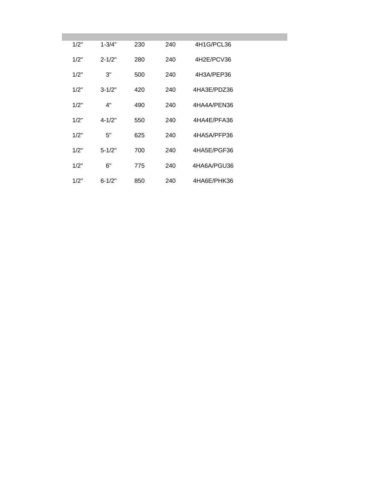| 230 | 240                                                                              | 4H1G/PCL36  |  |
|-----|----------------------------------------------------------------------------------|-------------|--|
| 280 | 240                                                                              | 4H2E/PCV36  |  |
| 500 | 240                                                                              | 4H3A/PEP36  |  |
| 420 | 240                                                                              | 4HA3E/PDZ36 |  |
| 490 | 240                                                                              | 4HA4A/PEN36 |  |
| 550 | 240                                                                              | 4HA4E/PFA36 |  |
| 625 | 240                                                                              | 4HA5A/PFP36 |  |
| 700 | 240                                                                              | 4HA5E/PGF36 |  |
| 775 | 240                                                                              | 4HA6A/PGU36 |  |
| 850 | 240                                                                              | 4HA6E/PHK36 |  |
|     | $1 - 3/4"$<br>$2 - 1/2"$<br>$3 - 1/2"$<br>$4 - 1/2"$<br>$5 - 1/2"$<br>$6 - 1/2"$ |             |  |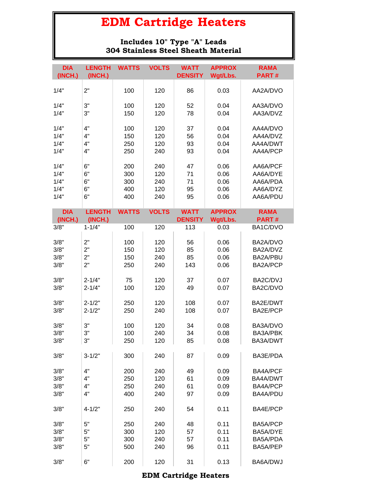#### **Includes 10" Type "A" Leads 304 Stainless Steel Sheath Material**

| <b>DIA</b> | <b>LENGTH</b> | <b>WATTS</b> | <b>VOLTS</b> | <b>WATT</b>    | <b>APPROX</b> | <b>RAMA</b>     |
|------------|---------------|--------------|--------------|----------------|---------------|-----------------|
| (INCH.)    | (INCH.)       |              |              | <b>DENSITY</b> | Wgt/Lbs.      | PART#           |
| 1/4"       | 2"            | 100          | 120          | 86             | 0.03          | AA2A/DVO        |
| 1/4"       | 3"            | 100          | 120          | 52             | 0.04          | AA3A/DVO        |
| 1/4"       | 3"            | 150          | 120          | 78             | 0.04          | AA3A/DVZ        |
|            |               |              |              |                |               |                 |
| 1/4"       | 4"            | 100          | 120          | 37             | 0.04          | AA4A/DVO        |
| 1/4"       | 4"            | 150          | 120          | 56             | 0.04          | AA4A/DVZ        |
| 1/4"       | 4"            | 250          | 120          | 93             | 0.04          | AA4A/DWT        |
| 1/4"       | 4"            | 250          | 240          | 93             | 0.04          | AA4A/PCP        |
| 1/4"       | 6"            | 200          | 240          | 47             | 0.06          | AA6A/PCF        |
| 1/4"       | 6"            | 300          | 120          | 71             | 0.06          | AA6A/DYE        |
| 1/4"       | 6"            | 300          | 240          | 71             | 0.06          | AA6A/PDA        |
| 1/4"       | 6"            | 400          | 120          | 95             | 0.06          | AA6A/DYZ        |
| 1/4"       | 6"            | 400          | 240          | 95             | 0.06          | AA6A/PDU        |
|            |               |              |              |                |               |                 |
| <b>DIA</b> | <b>LENGTH</b> | <b>WATTS</b> | <b>VOLTS</b> | <b>WATT</b>    | <b>APPROX</b> | <b>RAMA</b>     |
| (INCH.)    | (INCH.)       |              |              | <b>DENSITY</b> | Wgt/Lbs.      | <b>PART#</b>    |
| 3/8"       | $1 - 1/4"$    | 100          | 120          | 113            | 0.03          | BA1C/DVO        |
|            |               |              |              |                |               |                 |
| 3/8"       | 2"            | 100          | 120          | 56             | 0.06          | BA2A/DVO        |
| 3/8"       | 2"            | 150          | 120          | 85             | 0.06          | BA2A/DVZ        |
| 3/8"       | 2"            | 150          | 240          | 85             | 0.06          | BA2A/PBU        |
| 3/8"       | 2"            | 250          | 240          | 143            | 0.06          | BA2A/PCP        |
| 3/8"       | $2 - 1/4"$    | 75           | 120          | 37             | 0.07          | BA2C/DVJ        |
| 3/8"       | $2 - 1/4"$    | 100          | 120          | 49             | 0.07          | BA2C/DVO        |
|            |               |              |              |                |               |                 |
| 3/8"       | $2 - 1/2"$    | 250          | 120          | 108            | 0.07          | BA2E/DWT        |
| 3/8"       | $2 - 1/2"$    | 250          | 240          | 108            | 0.07          | BA2E/PCP        |
| 3/8"       | 3"            | 100          | 120          | 34             | 0.08          | BA3A/DVO        |
| 3/8"       | 3"            | 100          | 240          | 34             | 0.08          | BA3A/PBK        |
| 3/8"       | 3"            | 250          | 120          | 85             | 0.08          | BA3A/DWT        |
|            |               |              |              |                |               |                 |
| 3/8"       | $3 - 1/2"$    | 300          | 240          | 87             | 0.09          | BA3E/PDA        |
| 3/8"       | 4"            | 200          | 240          | 49             | 0.09          | <b>BA4A/PCF</b> |
| 3/8"       | 4"            | 250          | 120          | 61             | 0.09          | BA4A/DWT        |
| 3/8"       | 4"            | 250          | 240          | 61             | 0.09          | BA4A/PCP        |
| 3/8"       | 4"            | 400          | 240          | 97             | 0.09          | BA4A/PDU        |
|            |               |              |              |                |               |                 |
| 3/8"       | $4 - 1/2"$    | 250          | 240          | 54             | 0.11          | BA4E/PCP        |
| 3/8"       | 5"            | 250          | 240          | 48             | 0.11          | BA5A/PCP        |
| 3/8"       | 5"            | 300          | 120          | 57             | 0.11          | BA5A/DYE        |
| 3/8"       | 5"            | 300          | 240          | 57             | 0.11          | BA5A/PDA        |
| 3/8"       | 5"            | 500          | 240          | 96             | 0.11          | BA5A/PEP        |
|            |               |              |              |                |               |                 |
| 3/8"       | 6"            | 200          | 120          | 31             | 0.13          | BA6A/DWJ        |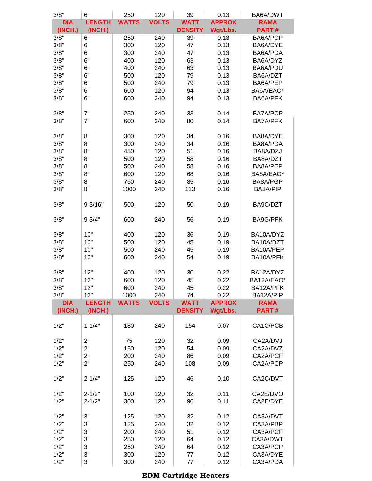| 3/8"       | 6"            | 250          | 120          | 39             | 0.13          | BA6A/DWT        |
|------------|---------------|--------------|--------------|----------------|---------------|-----------------|
| <b>DIA</b> | <b>LENGTH</b> | <b>WATTS</b> | <b>VOLTS</b> | <b>WATT</b>    | <b>APPROX</b> | <b>RAMA</b>     |
| (INCH.)    | (INCH.)       |              |              | <b>DENSITY</b> | Wgt/Lbs.      | <b>PART#</b>    |
| 3/8"       | 6"            | 250          | 240          | 39             | 0.13          | BA6A/PCP        |
| 3/8"       | 6"            | 300          | 120          | 47             | 0.13          | BA6A/DYE        |
| 3/8"       | 6"            | 300          | 240          | 47             | 0.13          | BA6A/PDA        |
| 3/8"       | 6"            | 400          | 120          | 63             | 0.13          | BA6A/DYZ        |
| 3/8"       | 6"            | 400          |              |                |               | BA6A/PDU        |
|            |               |              | 240          | 63             | 0.13          |                 |
| 3/8"       | 6"            | 500          | 120          | 79             | 0.13          | BA6A/DZT        |
| 3/8"       | 6"            | 500          | 240          | 79             | 0.13          | BA6A/PEP        |
| 3/8"       | 6"            | 600          | 120          | 94             | 0.13          | BA6A/EAO*       |
| 3/8"       | 6"            | 600          | 240          | 94             | 0.13          | BA6A/PFK        |
|            |               |              |              |                |               |                 |
| 3/8"       | 7"            | 250          | 240          | 33             | 0.14          | BA7A/PCP        |
| 3/8"       | 7"            | 600          | 240          | 80             | 0.14          | <b>BA7A/PFK</b> |
|            |               |              |              |                |               |                 |
|            |               |              |              |                |               |                 |
| 3/8"       | 8"            | 300          | 120          | 34             | 0.16          | BA8A/DYE        |
| 3/8"       | 8"            | 300          | 240          | 34             | 0.16          | BA8A/PDA        |
| 3/8"       | 8"            | 450          | 120          | 51             | 0.16          | BA8A/DZJ        |
| 3/8"       | 8"            | 500          | 120          | 58             | 0.16          | BA8A/DZT        |
| 3/8"       | 8"            | 500          | 240          | 58             | 0.16          | BA8A/PEP        |
|            |               |              |              |                |               |                 |
| 3/8"       | 8"            | 600          | 120          | 68             | 0.16          | BA8A/EAO*       |
| 3/8"       | 8"            | 750          | 240          | 85             | 0.16          | BA8A/PGP        |
| 3/8"       | 8"            | 1000         | 240          | 113            | 0.16          | BA8A/PIP        |
|            |               |              |              |                |               |                 |
| 3/8"       | $9 - 3/16"$   | 500          | 120          | 50             | 0.19          | BA9C/DZT        |
|            |               |              |              |                |               |                 |
| 3/8"       | $9 - 3/4"$    | 600          | 240          | 56             | 0.19          | BA9G/PFK        |
|            |               |              |              |                |               |                 |
|            |               |              |              |                |               |                 |
| 3/8"       | 10"           | 400          | 120          | 36             | 0.19          | BA10A/DYZ       |
| 3/8"       | 10"           | 500          | 120          | 45             | 0.19          | BA10A/DZT       |
| 3/8"       | 10"           | 500          | 240          | 45             | 0.19          | BA10A/PEP       |
| 3/8"       | 10"           | 600          | 240          | 54             | 0.19          | BA10A/PFK       |
|            |               |              |              |                |               |                 |
| 3/8"       | 12"           | 400          | 120          | 30             | 0.22          | BA12A/DYZ       |
|            |               |              |              |                |               | BA12A/EAO*      |
| 3/8"       | 12"           | 600          | 120          | 45             | 0.22          |                 |
| 3/8"       | 12"           | 600          | 240          | 45             | 0.22          | BA12A/PFK       |
| 3/8"       | 12"           | 1000         | 240          | 74             | 0.22          | BA12A/PIP       |
| <b>DIA</b> | <b>LENGTH</b> | <b>WATTS</b> | <b>VOLTS</b> | <b>WATT</b>    | <b>APPROX</b> | <b>RAMA</b>     |
| (INCH.)    | (INCH.)       |              |              | <b>DENSITY</b> | Wgt/Lbs.      | <b>PART#</b>    |
|            |               |              |              |                |               |                 |
| 1/2"       | $1 - 1/4"$    | 180          | 240          | 154            | 0.07          | CA1C/PCB        |
|            |               |              |              |                |               |                 |
| 1/2"       | 2"            | 75           | 120          | 32             | 0.09          | CA2A/DVJ        |
|            |               |              |              |                |               |                 |
| 1/2"       | 2"            | 150          | 120          | 54             | 0.09          | CA2A/DVZ        |
| 1/2"       | 2"            | 200          | 240          | 86             | 0.09          | CA2A/PCF        |
| 1/2"       | 2"            | 250          | 240          | 108            | 0.09          | CA2A/PCP        |
|            |               |              |              |                |               |                 |
| 1/2"       | $2 - 1/4"$    | 125          | 120          | 46             | 0.10          | CA2C/DVT        |
|            |               |              |              |                |               |                 |
| 1/2"       | $2 - 1/2"$    | 100          | 120          | 32             | 0.11          | CA2E/DVO        |
|            |               |              |              |                |               |                 |
| 1/2"       | $2 - 1/2"$    | 300          | 120          | 96             | 0.11          | CA2E/DYE        |
|            |               |              |              |                |               |                 |
| 1/2"       | 3"            | 125          | 120          | 32             | 0.12          | CA3A/DVT        |
| 1/2"       | 3"            | 125          | 240          | 32             | 0.12          | CA3A/PBP        |
| 1/2"       | 3"            | 200          | 240          | 51             | 0.12          | CA3A/PCF        |
| 1/2"       | 3"            | 250          | 120          | 64             | 0.12          | CA3A/DWT        |
| 1/2"       | 3"            | 250          | 240          | 64             | 0.12          | CA3A/PCP        |
|            |               |              |              |                |               |                 |
| 1/2"       | 3"            | 300          | 120          | 77             | 0.12          | CA3A/DYE        |
| 1/2"       | 3"            | 300          | 240          | 77             | 0.12          | CA3A/PDA        |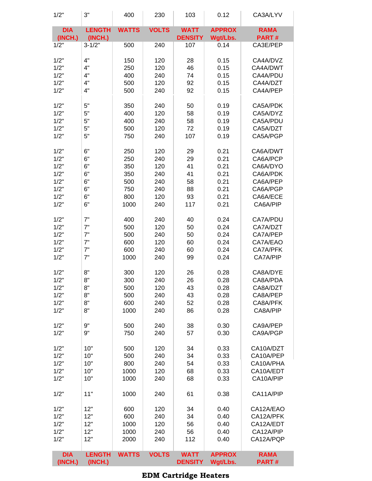| 1/2"                  | 3"                       | 400          | 230          | 103                           | 0.12                      | CA3A/LYV                    |
|-----------------------|--------------------------|--------------|--------------|-------------------------------|---------------------------|-----------------------------|
| <b>DIA</b><br>(INCH.) | <b>LENGTH</b><br>(INCH.) | <b>WATTS</b> | <b>VOLTS</b> | <b>WATT</b><br><b>DENSITY</b> | <b>APPROX</b><br>Wgt/Lbs. | <b>RAMA</b><br><b>PART#</b> |
| 1/2"                  | $3 - 1/2"$               | 500          | 240          | 107                           | 0.14                      | CA3E/PEP                    |
| 1/2"                  | 4"                       | 150          | 120          | 28                            | 0.15                      | CA4A/DVZ                    |
| 1/2"                  | 4"                       | 250          | 120          | 46                            | 0.15                      | CA4A/DWT                    |
| 1/2"                  | 4"                       | 400          | 240          | 74                            | 0.15                      | CA4A/PDU                    |
| 1/2"                  | 4"                       | 500          | 120          | 92                            | 0.15                      | CA4A/DZT                    |
| 1/2"                  | 4"                       | 500          | 240          | 92                            | 0.15                      | CA4A/PEP                    |
| 1/2"                  | 5"                       | 350          | 240          | 50                            | 0.19                      | CA5A/PDK                    |
| 1/2"                  | 5"                       | 400          | 120          | 58                            | 0.19                      | CA5A/DYZ                    |
| 1/2"                  | 5"                       | 400          | 240          | 58                            | 0.19                      | CA5A/PDU                    |
| 1/2"                  | 5"                       | 500          | 120          | 72                            | 0.19                      | CA5A/DZT                    |
| 1/2"                  | 5"                       | 750          | 240          | 107                           | 0.19                      | CA5A/PGP                    |
| 1/2"                  | 6"                       | 250          | 120          | 29                            | 0.21                      | CA6A/DWT                    |
| 1/2"                  | 6"                       | 250          | 240          | 29                            | 0.21                      | CA6A/PCP                    |
| 1/2"                  | 6"                       | 350          | 120          | 41                            | 0.21                      | CA6A/DYO                    |
| 1/2"                  | 6"                       | 350          | 240          | 41                            | 0.21                      | CA6A/PDK                    |
| 1/2"                  | 6"                       | 500          | 240          | 58                            | 0.21                      | CA6A/PEP                    |
| 1/2"                  | 6"                       | 750          | 240          | 88                            | 0.21                      | CA6A/PGP                    |
| 1/2"                  | 6"                       | 800          | 120          | 93                            | 0.21                      | CA6A/ECE                    |
| 1/2"                  | 6"                       | 1000         | 240          | 117                           | 0.21                      | CA6A/PIP                    |
| 1/2"                  | 7"                       | 400          | 240          | 40                            | 0.24                      | CA7A/PDU                    |
| 1/2"                  | 7"                       | 500          | 120          | 50                            | 0.24                      | CA7A/DZT                    |
| 1/2"                  | 7"                       | 500          | 240          | 50                            | 0.24                      | CA7A/PEP                    |
| 1/2"                  | 7"                       | 600          | 120          | 60                            | 0.24                      | CA7A/EAO                    |
| 1/2"                  | 7"                       | 600          | 240          | 60                            | 0.24                      | CA7A/PFK                    |
| 1/2"                  | 7"                       | 1000         | 240          | 99                            | 0.24                      | CA7A/PIP                    |
| 1/2"                  | 8"                       | 300          | 120          | 26                            | 0.28                      | CA8A/DYE                    |
| 1/2"                  | 8"                       | 300          | 240          | 26                            | 0.28                      | CA8A/PDA                    |
| 1/2"                  | 8"                       | 500          | 120          | 43                            | 0.28                      | CA8A/DZT                    |
| 1/2"                  | 8"                       | 500          | 240          | 43                            | 0.28                      | CA8A/PEP                    |
| 1/2"                  | 8"                       | 600          | 240          | 52                            | 0.28                      | CA8A/PFK                    |
| 1/2"                  | 8"                       | 1000         | 240          | 86                            | 0.28                      | CA8A/PIP                    |
| 1/2"                  | 9"                       | 500          | 240          | 38                            | 0.30                      | CA9A/PEP                    |
| 1/2"                  | 9"                       | 750          | 240          | 57                            | 0.30                      | CA9A/PGP                    |
| 1/2"                  | 10"                      | 500          | 120          | 34                            | 0.33                      | CA10A/DZT                   |
| 1/2"                  | 10"                      | 500          | 240          | 34                            | 0.33                      | CA10A/PEP                   |
| 1/2"                  | 10"                      | 800          | 240          | 54                            | 0.33                      | CA10A/PHA                   |
| 1/2"                  | 10"                      | 1000         | 120          | 68                            | 0.33                      | CA10A/EDT                   |
| 1/2"                  | 10"                      | 1000         | 240          | 68                            | 0.33                      | CA10A/PIP                   |
| 1/2"                  | 11"                      | 1000         | 240          | 61                            | 0.38                      | CA11A/PIP                   |
| 1/2"                  | 12"                      | 600          | 120          | 34                            | 0.40                      | CA12A/EAO                   |
| 1/2"                  | 12"                      | 600          | 240          | 34                            | 0.40                      | CA12A/PFK                   |
| 1/2"                  | 12"                      | 1000         | 120          | 56                            | 0.40                      | CA12A/EDT                   |
| 1/2"                  | 12"                      | 1000         | 240          | 56                            | 0.40                      | CA12A/PIP                   |
| 1/2"                  | 12"                      | 2000         | 240          | 112                           | 0.40                      | CA12A/PQP                   |
| <b>DIA</b><br>(INCH.) | <b>LENGTH</b><br>(INCH.) | <b>WATTS</b> | <b>VOLTS</b> | <b>WATT</b><br><b>DENSITY</b> | <b>APPROX</b><br>Wgt/Lbs. | <b>RAMA</b><br>PART#        |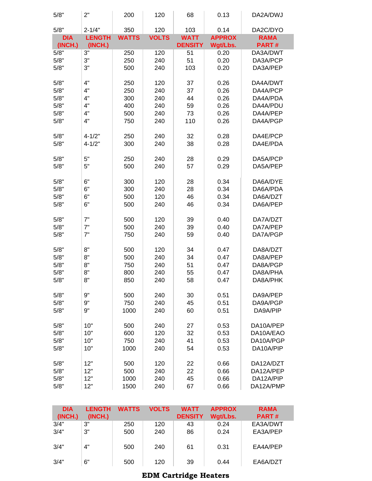| 5/8"       | 2"            | 200          | 120          | 68             | 0.13          | DA2A/DWJ     |
|------------|---------------|--------------|--------------|----------------|---------------|--------------|
| 5/8"       | $2 - 1/4"$    | 350          | 120          | 103            | 0.14          | DA2C/DYO     |
| <b>DIA</b> | <b>LENGTH</b> | <b>WATTS</b> | <b>VOLTS</b> | <b>WATT</b>    | <b>APPROX</b> | <b>RAMA</b>  |
| (INCH.)    | (INCH.)       |              |              | <b>DENSITY</b> | Wgt/Lbs.      | <b>PART#</b> |
| 5/8"       | 3"            | 250          | 120          | 51             | 0.20          | DA3A/DWT     |
| 5/8"       | 3"            | 250          | 240          | 51             | 0.20          | DA3A/PCP     |
| 5/8"       | 3"            | 500          | 240          | 103            | 0.20          | DA3A/PEP     |
|            |               |              |              |                |               |              |
| 5/8"       | 4"            | 250          | 120          | 37             | 0.26          | DA4A/DWT     |
| 5/8"       | 4"            | 250          | 240          | 37             | 0.26          | DA4A/PCP     |
| 5/8"       | 4"            | 300          | 240          | 44             | 0.26          | DA4A/PDA     |
| 5/8"       | 4"            | 400          | 240          | 59             | 0.26          | DA4A/PDU     |
| 5/8"       | 4"            | 500          | 240          | 73             | 0.26          | DA4A/PEP     |
| 5/8"       | 4"            | 750          | 240          | 110            | 0.26          | DA4A/PGP     |
|            |               |              |              |                |               |              |
| 5/8"       | $4 - 1/2"$    | 250          | 240          | 32             | 0.28          | DA4E/PCP     |
| 5/8"       | $4 - 1/2"$    | 300          | 240          | 38             | 0.28          | DA4E/PDA     |
|            |               |              |              |                |               |              |
| 5/8"       | 5"            | 250          | 240          | 28             | 0.29          | DA5A/PCP     |
| 5/8"       | 5"            | 500          | 240          | 57             | 0.29          | DA5A/PEP     |
|            |               |              |              |                |               |              |
| 5/8"       | 6"            | 300          | 120          | 28             | 0.34          | DA6A/DYE     |
| 5/8"       | 6"            | 300          | 240          | 28             | 0.34          | DA6A/PDA     |
| 5/8"       | 6"            | 500          | 120          | 46             | 0.34          | DA6A/DZT     |
| 5/8"       | 6"            | 500          | 240          | 46             | 0.34          | DA6A/PEP     |
|            |               |              |              |                |               |              |
| 5/8"       | 7"            | 500          | 120          | 39             | 0.40          | DA7A/DZT     |
| 5/8"       | 7"<br>7"      | 500          | 240          | 39             | 0.40          | DA7A/PEP     |
| 5/8"       |               | 750          | 240          | 59             | 0.40          | DA7A/PGP     |
| 5/8"       | 8"            | 500          | 120          | 34             | 0.47          | DA8A/DZT     |
| 5/8"       | 8"            | 500          | 240          | 34             | 0.47          | DA8A/PEP     |
| 5/8"       | 8"            | 750          | 240          | 51             | 0.47          | DA8A/PGP     |
| 5/8"       | 8"            | 800          | 240          | 55             | 0.47          | DA8A/PHA     |
| 5/8"       | 8"            | 850          | 240          | 58             | 0.47          | DA8A/PHK     |
|            |               |              |              |                |               |              |
| 5/8"       | 9"            | 500          | 240          | 30             | 0.51          | DA9A/PEP     |
| 5/8"       | 9"            | 750          | 240          | 45             | 0.51          | DA9A/PGP     |
| 5/8"       | 9"            | 1000         | 240          | 60             | 0.51          | DA9A/PIP     |
|            |               |              |              |                |               |              |
| 5/8"       | 10"           | 500          | 240          | 27             | 0.53          | DA10A/PEP    |
| 5/8"       | 10"           | 600          | 120          | 32             | 0.53          | DA10A/EAO    |
| 5/8"       | 10"           | 750          | 240          | 41             | 0.53          | DA10A/PGP    |
| 5/8"       | 10"           | 1000         | 240          | 54             | 0.53          | DA10A/PIP    |
|            |               |              |              |                |               |              |
| 5/8"       | 12"           | 500          | 120          | 22             | 0.66          | DA12A/DZT    |
| 5/8"       | 12"           | 500          | 240          | 22             | 0.66          | DA12A/PEP    |
| 5/8"       | 12"           | 1000         | 240          | 45             | 0.66          | DA12A/PIP    |
| 5/8"       | 12"           | 1500         | 240          | 67             | 0.66          | DA12A/PMP    |

| <b>DIA</b><br>(INCH.) | <b>LENGTH</b><br>(INCH.) | <b>WATTS</b> | <b>VOLTS</b> | <b>WATT</b><br><b>DENSITY</b> | <b>APPROX</b><br>Wgt/Lbs. | <b>RAMA</b><br><b>PART#</b> |
|-----------------------|--------------------------|--------------|--------------|-------------------------------|---------------------------|-----------------------------|
| 3/4"                  | 3"                       | 250          | 120          | 43                            | 0.24                      | EA3A/DWT                    |
| 3/4"                  | 3"                       | 500          | 240          | 86                            | 0.24                      | EA3A/PEP                    |
| 3/4"                  | 4"                       | 500          | 240          | 61                            | 0.31                      | EA4A/PEP                    |
| 3/4"                  | 6"                       | 500          | 120          | 39                            | 0.44                      | EA6A/DZT                    |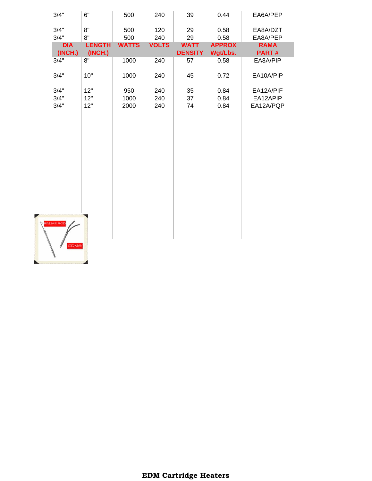| 3/4"                            | 6"            | 500          | 240          | 39             | 0.44          | EA6A/PEP    |
|---------------------------------|---------------|--------------|--------------|----------------|---------------|-------------|
| 3/4"                            | 8"            | 500          | 120          | 29             | 0.58          | EA8A/DZT    |
| 3/4"                            | 8"            | 500          | 240          | 29             | 0.58          | EA8A/PEP    |
| <b>DIA</b>                      | <b>LENGTH</b> | <b>WATTS</b> | <b>VOLTS</b> | <b>WATT</b>    | <b>APPROX</b> | <b>RAMA</b> |
| (INCH.)                         | (INCH.)       |              |              | <b>DENSITY</b> | Wgt/Lbs.      | PART#       |
| 3/4"                            | 8"            | 1000         | 240          | 57             | 0.58          | EA8A/PIP    |
| 3/4"                            | 10"           | 1000         | 240          | 45             | 0.72          | EA10A/PIP   |
| 3/4"                            | 12"           | 950          | 240          | 35             | 0.84          | EA12A/PIF   |
| 3/4"                            | 12"           | 1000         | 240          | 37             | 0.84          | EA12APIP    |
| 3/4"                            | 12"           | 2000         | 240          | 74             | 0.84          | EA12A/PQP   |
|                                 |               |              |              |                |               |             |
| <b>RAMA® ROD</b><br><b>EDM®</b> |               |              |              |                |               |             |